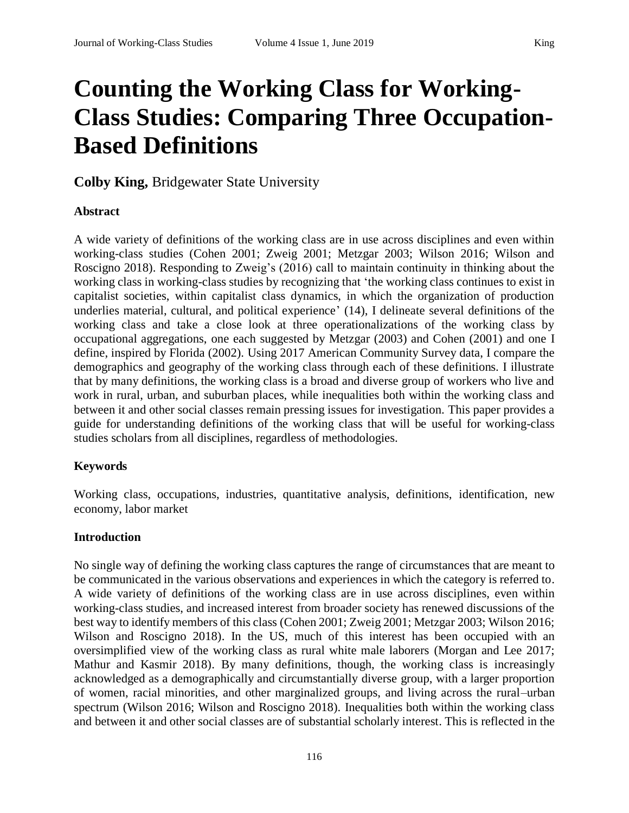# **Counting the Working Class for Working-Class Studies: Comparing Three Occupation-Based Definitions**

**Colby King,** Bridgewater State University

#### **Abstract**

A wide variety of definitions of the working class are in use across disciplines and even within working-class studies (Cohen 2001; Zweig 2001; Metzgar 2003; Wilson 2016; Wilson and Roscigno 2018). Responding to Zweig's (2016) call to maintain continuity in thinking about the working class in working-class studies by recognizing that 'the working class continues to exist in capitalist societies, within capitalist class dynamics, in which the organization of production underlies material, cultural, and political experience' (14), I delineate several definitions of the working class and take a close look at three operationalizations of the working class by occupational aggregations, one each suggested by Metzgar (2003) and Cohen (2001) and one I define, inspired by Florida (2002). Using 2017 American Community Survey data, I compare the demographics and geography of the working class through each of these definitions. I illustrate that by many definitions, the working class is a broad and diverse group of workers who live and work in rural, urban, and suburban places, while inequalities both within the working class and between it and other social classes remain pressing issues for investigation. This paper provides a guide for understanding definitions of the working class that will be useful for working-class studies scholars from all disciplines, regardless of methodologies.

#### **Keywords**

Working class, occupations, industries, quantitative analysis, definitions, identification, new economy, labor market

#### **Introduction**

No single way of defining the working class captures the range of circumstances that are meant to be communicated in the various observations and experiences in which the category is referred to. A wide variety of definitions of the working class are in use across disciplines, even within working-class studies, and increased interest from broader society has renewed discussions of the best way to identify members of this class (Cohen 2001; Zweig 2001; Metzgar 2003; Wilson 2016; Wilson and Roscigno 2018). In the US, much of this interest has been occupied with an oversimplified view of the working class as rural white male laborers (Morgan and Lee 2017; Mathur and Kasmir 2018). By many definitions, though, the working class is increasingly acknowledged as a demographically and circumstantially diverse group, with a larger proportion of women, racial minorities, and other marginalized groups, and living across the rural–urban spectrum (Wilson 2016; Wilson and Roscigno 2018). Inequalities both within the working class and between it and other social classes are of substantial scholarly interest. This is reflected in the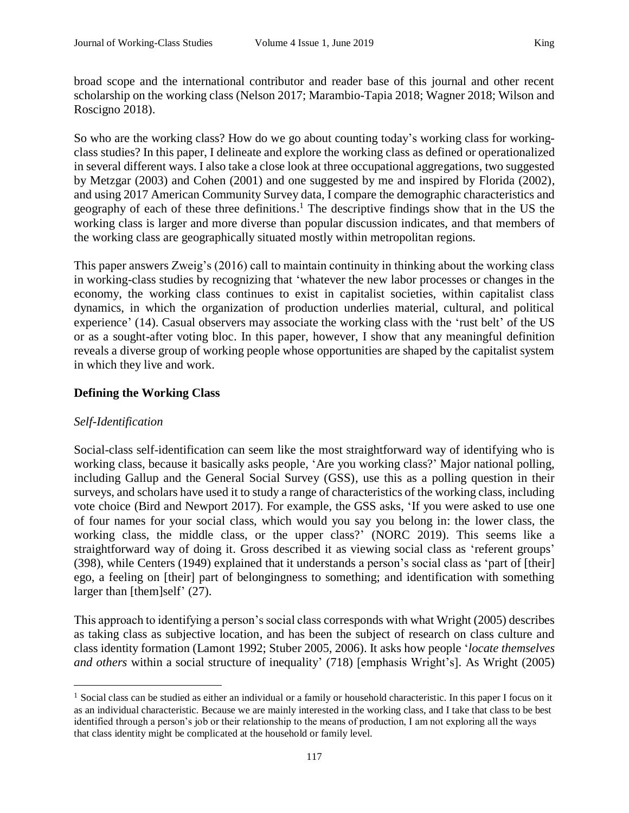broad scope and the international contributor and reader base of this journal and other recent scholarship on the working class (Nelson 2017; Marambio-Tapia 2018; Wagner 2018; Wilson and Roscigno 2018).

So who are the working class? How do we go about counting today's working class for workingclass studies? In this paper, I delineate and explore the working class as defined or operationalized in several different ways. I also take a close look at three occupational aggregations, two suggested by Metzgar (2003) and Cohen (2001) and one suggested by me and inspired by Florida (2002), and using 2017 American Community Survey data, I compare the demographic characteristics and geography of each of these three definitions.<sup>1</sup> The descriptive findings show that in the US the working class is larger and more diverse than popular discussion indicates, and that members of the working class are geographically situated mostly within metropolitan regions.

This paper answers Zweig's (2016) call to maintain continuity in thinking about the working class in working-class studies by recognizing that 'whatever the new labor processes or changes in the economy, the working class continues to exist in capitalist societies, within capitalist class dynamics, in which the organization of production underlies material, cultural, and political experience' (14). Casual observers may associate the working class with the 'rust belt' of the US or as a sought-after voting bloc. In this paper, however, I show that any meaningful definition reveals a diverse group of working people whose opportunities are shaped by the capitalist system in which they live and work.

# **Defining the Working Class**

#### *Self-Identification*

 $\overline{a}$ 

Social-class self-identification can seem like the most straightforward way of identifying who is working class, because it basically asks people, 'Are you working class?' Major national polling, including Gallup and the General Social Survey (GSS), use this as a polling question in their surveys, and scholars have used it to study a range of characteristics of the working class, including vote choice (Bird and Newport 2017). For example, the GSS asks, 'If you were asked to use one of four names for your social class, which would you say you belong in: the lower class, the working class, the middle class, or the upper class?' (NORC 2019). This seems like a straightforward way of doing it. Gross described it as viewing social class as 'referent groups' (398), while Centers (1949) explained that it understands a person's social class as 'part of [their] ego, a feeling on [their] part of belongingness to something; and identification with something larger than [them]self' (27).

This approach to identifying a person's social class corresponds with what Wright (2005) describes as taking class as subjective location, and has been the subject of research on class culture and class identity formation (Lamont 1992; Stuber 2005, 2006). It asks how people '*locate themselves and others* within a social structure of inequality' (718) [emphasis Wright's]. As Wright (2005)

<sup>&</sup>lt;sup>1</sup> Social class can be studied as either an individual or a family or household characteristic. In this paper I focus on it as an individual characteristic. Because we are mainly interested in the working class, and I take that class to be best identified through a person's job or their relationship to the means of production, I am not exploring all the ways that class identity might be complicated at the household or family level.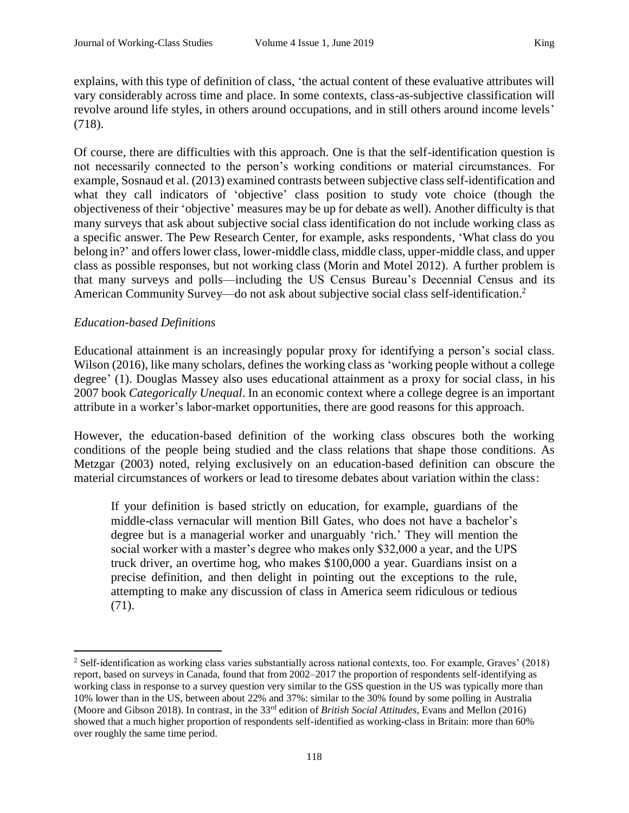explains, with this type of definition of class, 'the actual content of these evaluative attributes will vary considerably across time and place. In some contexts, class-as-subjective classification will revolve around life styles, in others around occupations, and in still others around income levels' (718).

Of course, there are difficulties with this approach. One is that the self-identification question is not necessarily connected to the person's working conditions or material circumstances. For example, Sosnaud et al. (2013) examined contrasts between subjective class self-identification and what they call indicators of 'objective' class position to study vote choice (though the objectiveness of their 'objective' measures may be up for debate as well). Another difficulty is that many surveys that ask about subjective social class identification do not include working class as a specific answer. The Pew Research Center, for example, asks respondents, 'What class do you belong in?' and offers lower class, lower-middle class, middle class, upper-middle class, and upper class as possible responses, but not working class (Morin and Motel 2012). A further problem is that many surveys and polls—including the US Census Bureau's Decennial Census and its American Community Survey—do not ask about subjective social class self-identification.<sup>2</sup>

### *Education-based Definitions*

 $\overline{a}$ 

Educational attainment is an increasingly popular proxy for identifying a person's social class. Wilson (2016), like many scholars, defines the working class as 'working people without a college degree' (1). Douglas Massey also uses educational attainment as a proxy for social class, in his 2007 book *Categorically Unequal*. In an economic context where a college degree is an important attribute in a worker's labor-market opportunities, there are good reasons for this approach.

However, the education-based definition of the working class obscures both the working conditions of the people being studied and the class relations that shape those conditions. As Metzgar (2003) noted, relying exclusively on an education-based definition can obscure the material circumstances of workers or lead to tiresome debates about variation within the class:

If your definition is based strictly on education, for example, guardians of the middle-class vernacular will mention Bill Gates, who does not have a bachelor's degree but is a managerial worker and unarguably 'rich.' They will mention the social worker with a master's degree who makes only \$32,000 a year, and the UPS truck driver, an overtime hog, who makes \$100,000 a year. Guardians insist on a precise definition, and then delight in pointing out the exceptions to the rule, attempting to make any discussion of class in America seem ridiculous or tedious (71).

<sup>&</sup>lt;sup>2</sup> Self-identification as working class varies substantially across national contexts, too. For example, Graves' (2018) report, based on surveys in Canada, found that from 2002–2017 the proportion of respondents self-identifying as working class in response to a survey question very similar to the GSS question in the US was typically more than 10% lower than in the US, between about 22% and 37%: similar to the 30% found by some polling in Australia (Moore and Gibson 2018). In contrast, in the 33rd edition of *British Social Attitudes*, Evans and Mellon (2016) showed that a much higher proportion of respondents self-identified as working-class in Britain: more than 60% over roughly the same time period.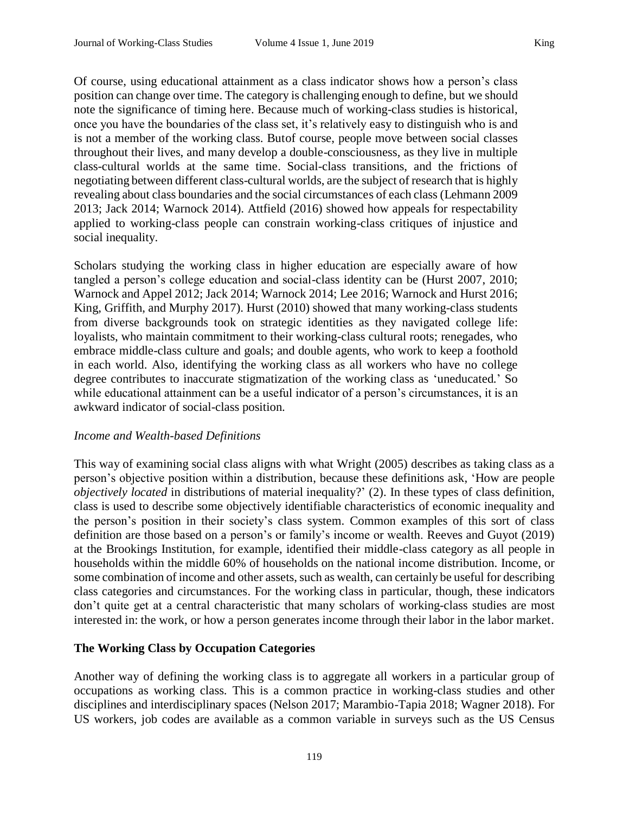Of course, using educational attainment as a class indicator shows how a person's class position can change over time. The category is challenging enough to define, but we should note the significance of timing here. Because much of working-class studies is historical, once you have the boundaries of the class set, it's relatively easy to distinguish who is and is not a member of the working class. Butof course, people move between social classes throughout their lives, and many develop a double-consciousness, as they live in multiple class-cultural worlds at the same time. Social-class transitions, and the frictions of negotiating between different class-cultural worlds, are the subject of research that is highly revealing about class boundaries and the social circumstances of each class (Lehmann 2009 2013; Jack 2014; Warnock 2014). Attfield (2016) showed how appeals for respectability applied to working-class people can constrain working-class critiques of injustice and social inequality.

Scholars studying the working class in higher education are especially aware of how tangled a person's college education and social-class identity can be (Hurst 2007, 2010; Warnock and Appel 2012; Jack 2014; Warnock 2014; Lee 2016; Warnock and Hurst 2016; King, Griffith, and Murphy 2017). Hurst (2010) showed that many working-class students from diverse backgrounds took on strategic identities as they navigated college life: loyalists, who maintain commitment to their working-class cultural roots; renegades, who embrace middle-class culture and goals; and double agents, who work to keep a foothold in each world. Also, identifying the working class as all workers who have no college degree contributes to inaccurate stigmatization of the working class as 'uneducated.' So while educational attainment can be a useful indicator of a person's circumstances, it is an awkward indicator of social-class position.

#### *Income and Wealth-based Definitions*

This way of examining social class aligns with what Wright (2005) describes as taking class as a person's objective position within a distribution, because these definitions ask, 'How are people *objectively located* in distributions of material inequality?' (2). In these types of class definition, class is used to describe some objectively identifiable characteristics of economic inequality and the person's position in their society's class system. Common examples of this sort of class definition are those based on a person's or family's income or wealth. Reeves and Guyot (2019) at the Brookings Institution, for example, identified their middle-class category as all people in households within the middle 60% of households on the national income distribution. Income, or some combination of income and other assets, such as wealth, can certainly be useful for describing class categories and circumstances. For the working class in particular, though, these indicators don't quite get at a central characteristic that many scholars of working-class studies are most interested in: the work, or how a person generates income through their labor in the labor market.

# **The Working Class by Occupation Categories**

Another way of defining the working class is to aggregate all workers in a particular group of occupations as working class. This is a common practice in working-class studies and other disciplines and interdisciplinary spaces (Nelson 2017; Marambio-Tapia 2018; Wagner 2018). For US workers, job codes are available as a common variable in surveys such as the US Census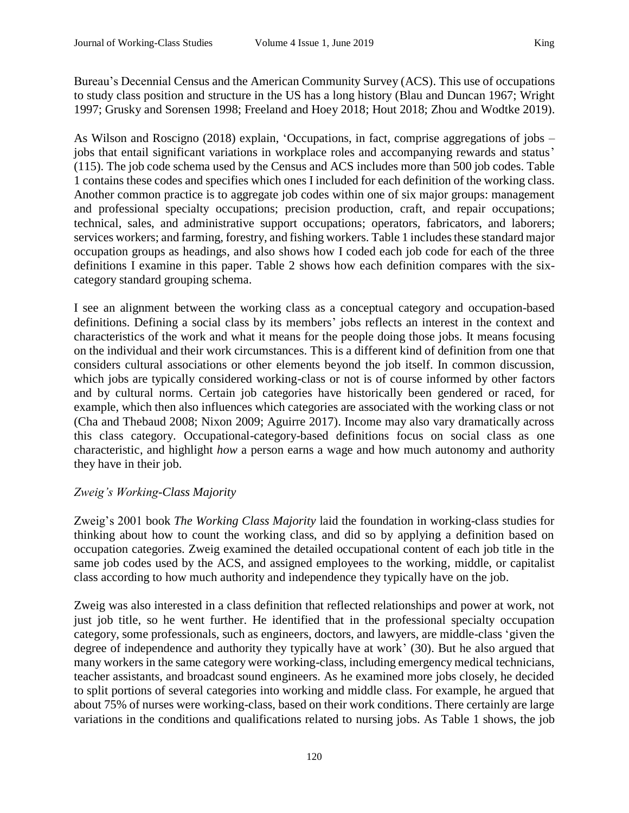Bureau's Decennial Census and the American Community Survey (ACS). This use of occupations to study class position and structure in the US has a long history (Blau and Duncan 1967; Wright 1997; Grusky and Sorensen 1998; Freeland and Hoey 2018; Hout 2018; Zhou and Wodtke 2019).

As Wilson and Roscigno (2018) explain, 'Occupations, in fact, comprise aggregations of jobs – jobs that entail significant variations in workplace roles and accompanying rewards and status' (115). The job code schema used by the Census and ACS includes more than 500 job codes. Table 1 contains these codes and specifies which ones I included for each definition of the working class. Another common practice is to aggregate job codes within one of six major groups: management and professional specialty occupations; precision production, craft, and repair occupations; technical, sales, and administrative support occupations; operators, fabricators, and laborers; services workers; and farming, forestry, and fishing workers. Table 1 includes these standard major occupation groups as headings, and also shows how I coded each job code for each of the three definitions I examine in this paper. Table 2 shows how each definition compares with the sixcategory standard grouping schema.

I see an alignment between the working class as a conceptual category and occupation-based definitions. Defining a social class by its members' jobs reflects an interest in the context and characteristics of the work and what it means for the people doing those jobs. It means focusing on the individual and their work circumstances. This is a different kind of definition from one that considers cultural associations or other elements beyond the job itself. In common discussion, which jobs are typically considered working-class or not is of course informed by other factors and by cultural norms. Certain job categories have historically been gendered or raced, for example, which then also influences which categories are associated with the working class or not (Cha and Thebaud 2008; Nixon 2009; Aguirre 2017). Income may also vary dramatically across this class category. Occupational-category-based definitions focus on social class as one characteristic, and highlight *how* a person earns a wage and how much autonomy and authority they have in their job.

# *Zweig's Working-Class Majority*

Zweig's 2001 book *The Working Class Majority* laid the foundation in working-class studies for thinking about how to count the working class, and did so by applying a definition based on occupation categories. Zweig examined the detailed occupational content of each job title in the same job codes used by the ACS, and assigned employees to the working, middle, or capitalist class according to how much authority and independence they typically have on the job.

Zweig was also interested in a class definition that reflected relationships and power at work, not just job title, so he went further. He identified that in the professional specialty occupation category, some professionals, such as engineers, doctors, and lawyers, are middle-class 'given the degree of independence and authority they typically have at work' (30). But he also argued that many workers in the same category were working-class, including emergency medical technicians, teacher assistants, and broadcast sound engineers. As he examined more jobs closely, he decided to split portions of several categories into working and middle class. For example, he argued that about 75% of nurses were working-class, based on their work conditions. There certainly are large variations in the conditions and qualifications related to nursing jobs. As Table 1 shows, the job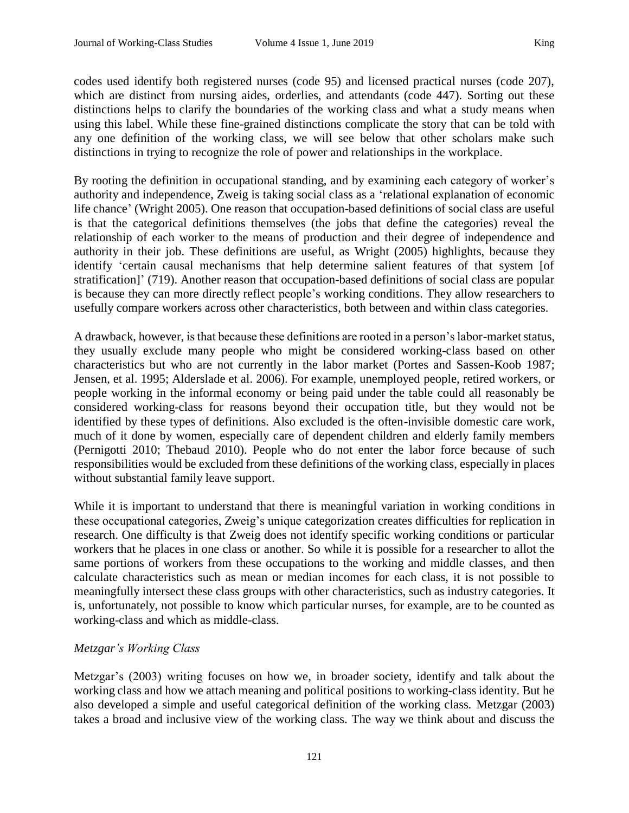codes used identify both registered nurses (code 95) and licensed practical nurses (code 207), which are distinct from nursing aides, orderlies, and attendants (code 447). Sorting out these distinctions helps to clarify the boundaries of the working class and what a study means when using this label. While these fine-grained distinctions complicate the story that can be told with any one definition of the working class, we will see below that other scholars make such distinctions in trying to recognize the role of power and relationships in the workplace.

By rooting the definition in occupational standing, and by examining each category of worker's authority and independence, Zweig is taking social class as a 'relational explanation of economic life chance' (Wright 2005). One reason that occupation-based definitions of social class are useful is that the categorical definitions themselves (the jobs that define the categories) reveal the relationship of each worker to the means of production and their degree of independence and authority in their job. These definitions are useful, as Wright (2005) highlights, because they identify 'certain causal mechanisms that help determine salient features of that system [of stratification]' (719). Another reason that occupation-based definitions of social class are popular is because they can more directly reflect people's working conditions. They allow researchers to usefully compare workers across other characteristics, both between and within class categories.

A drawback, however, is that because these definitions are rooted in a person's labor-market status, they usually exclude many people who might be considered working-class based on other characteristics but who are not currently in the labor market (Portes and Sassen-Koob 1987; Jensen, et al. 1995; Alderslade et al. 2006). For example, unemployed people, retired workers, or people working in the informal economy or being paid under the table could all reasonably be considered working-class for reasons beyond their occupation title, but they would not be identified by these types of definitions. Also excluded is the often-invisible domestic care work, much of it done by women, especially care of dependent children and elderly family members (Pernigotti 2010; Thebaud 2010). People who do not enter the labor force because of such responsibilities would be excluded from these definitions of the working class, especially in places without substantial family leave support.

While it is important to understand that there is meaningful variation in working conditions in these occupational categories, Zweig's unique categorization creates difficulties for replication in research. One difficulty is that Zweig does not identify specific working conditions or particular workers that he places in one class or another. So while it is possible for a researcher to allot the same portions of workers from these occupations to the working and middle classes, and then calculate characteristics such as mean or median incomes for each class, it is not possible to meaningfully intersect these class groups with other characteristics, such as industry categories. It is, unfortunately, not possible to know which particular nurses, for example, are to be counted as working-class and which as middle-class.

# *Metzgar's Working Class*

Metzgar's (2003) writing focuses on how we, in broader society, identify and talk about the working class and how we attach meaning and political positions to working-class identity. But he also developed a simple and useful categorical definition of the working class. Metzgar (2003) takes a broad and inclusive view of the working class. The way we think about and discuss the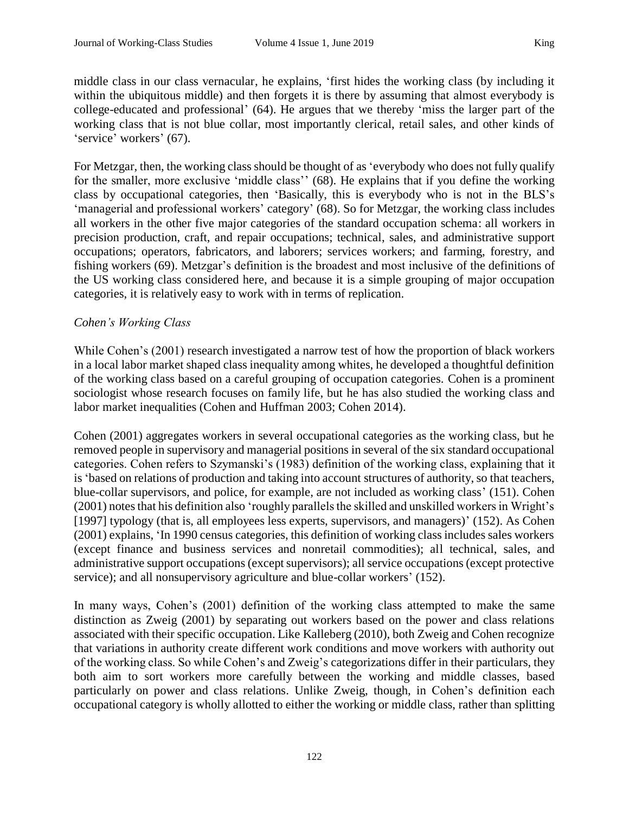middle class in our class vernacular, he explains, 'first hides the working class (by including it within the ubiquitous middle) and then forgets it is there by assuming that almost everybody is college-educated and professional' (64). He argues that we thereby 'miss the larger part of the working class that is not blue collar, most importantly clerical, retail sales, and other kinds of 'service' workers' (67).

For Metzgar, then, the working class should be thought of as 'everybody who does not fully qualify for the smaller, more exclusive 'middle class'' (68). He explains that if you define the working class by occupational categories, then 'Basically, this is everybody who is not in the BLS's 'managerial and professional workers' category' (68). So for Metzgar, the working class includes all workers in the other five major categories of the standard occupation schema: all workers in precision production, craft, and repair occupations; technical, sales, and administrative support occupations; operators, fabricators, and laborers; services workers; and farming, forestry, and fishing workers (69). Metzgar's definition is the broadest and most inclusive of the definitions of the US working class considered here, and because it is a simple grouping of major occupation categories, it is relatively easy to work with in terms of replication.

### *Cohen's Working Class*

While Cohen's (2001) research investigated a narrow test of how the proportion of black workers in a local labor market shaped class inequality among whites, he developed a thoughtful definition of the working class based on a careful grouping of occupation categories. Cohen is a prominent sociologist whose research focuses on family life, but he has also studied the working class and labor market inequalities (Cohen and Huffman 2003; Cohen 2014).

Cohen (2001) aggregates workers in several occupational categories as the working class, but he removed people in supervisory and managerial positions in several of the six standard occupational categories. Cohen refers to Szymanski's (1983) definition of the working class, explaining that it is 'based on relations of production and taking into account structures of authority, so that teachers, blue-collar supervisors, and police, for example, are not included as working class' (151). Cohen (2001) notes that his definition also 'roughly parallels the skilled and unskilled workers in Wright's [1997] typology (that is, all employees less experts, supervisors, and managers)' (152). As Cohen (2001) explains, 'In 1990 census categories, this definition of working class includes sales workers (except finance and business services and nonretail commodities); all technical, sales, and administrative support occupations (except supervisors); all service occupations (except protective service); and all nonsupervisory agriculture and blue-collar workers' (152).

In many ways, Cohen's (2001) definition of the working class attempted to make the same distinction as Zweig (2001) by separating out workers based on the power and class relations associated with their specific occupation. Like Kalleberg (2010), both Zweig and Cohen recognize that variations in authority create different work conditions and move workers with authority out of the working class. So while Cohen's and Zweig's categorizations differ in their particulars, they both aim to sort workers more carefully between the working and middle classes, based particularly on power and class relations. Unlike Zweig, though, in Cohen's definition each occupational category is wholly allotted to either the working or middle class, rather than splitting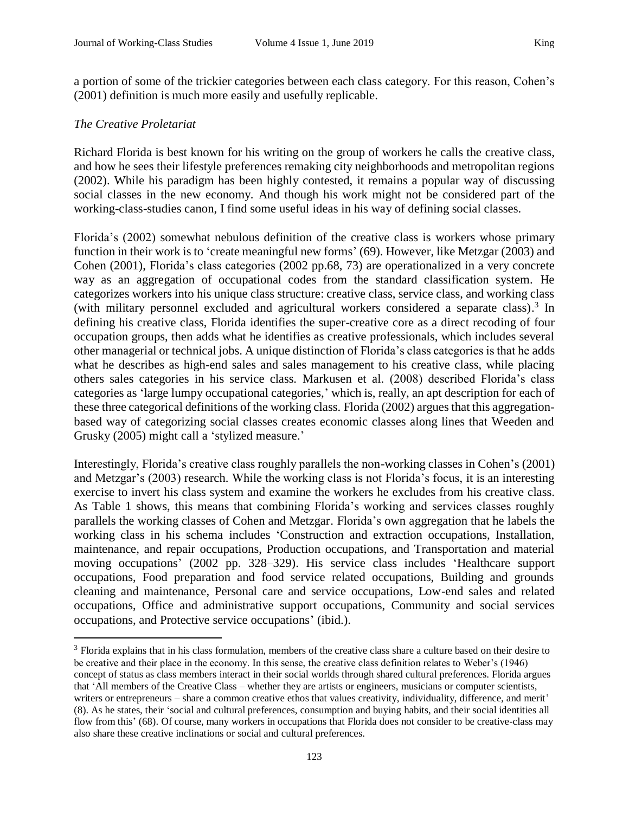a portion of some of the trickier categories between each class category. For this reason, Cohen's (2001) definition is much more easily and usefully replicable.

#### *The Creative Proletariat*

l

Richard Florida is best known for his writing on the group of workers he calls the creative class, and how he sees their lifestyle preferences remaking city neighborhoods and metropolitan regions (2002). While his paradigm has been highly contested, it remains a popular way of discussing social classes in the new economy. And though his work might not be considered part of the working-class-studies canon, I find some useful ideas in his way of defining social classes.

Florida's (2002) somewhat nebulous definition of the creative class is workers whose primary function in their work is to 'create meaningful new forms' (69). However, like Metzgar (2003) and Cohen (2001), Florida's class categories (2002 pp.68, 73) are operationalized in a very concrete way as an aggregation of occupational codes from the standard classification system. He categorizes workers into his unique class structure: creative class, service class, and working class (with military personnel excluded and agricultural workers considered a separate class).<sup>3</sup> In defining his creative class, Florida identifies the super-creative core as a direct recoding of four occupation groups, then adds what he identifies as creative professionals, which includes several other managerial or technical jobs. A unique distinction of Florida's class categories is that he adds what he describes as high-end sales and sales management to his creative class, while placing others sales categories in his service class. Markusen et al. (2008) described Florida's class categories as 'large lumpy occupational categories,' which is, really, an apt description for each of these three categorical definitions of the working class. Florida (2002) argues that this aggregationbased way of categorizing social classes creates economic classes along lines that Weeden and Grusky (2005) might call a 'stylized measure.'

Interestingly, Florida's creative class roughly parallels the non-working classes in Cohen's (2001) and Metzgar's (2003) research. While the working class is not Florida's focus, it is an interesting exercise to invert his class system and examine the workers he excludes from his creative class. As Table 1 shows, this means that combining Florida's working and services classes roughly parallels the working classes of Cohen and Metzgar. Florida's own aggregation that he labels the working class in his schema includes 'Construction and extraction occupations, Installation, maintenance, and repair occupations, Production occupations, and Transportation and material moving occupations' (2002 pp. 328–329). His service class includes 'Healthcare support occupations, Food preparation and food service related occupations, Building and grounds cleaning and maintenance, Personal care and service occupations, Low-end sales and related occupations, Office and administrative support occupations, Community and social services occupations, and Protective service occupations' (ibid.).

<sup>3</sup> Florida explains that in his class formulation, members of the creative class share a culture based on their desire to be creative and their place in the economy. In this sense, the creative class definition relates to Weber's (1946) concept of status as class members interact in their social worlds through shared cultural preferences. Florida argues that 'All members of the Creative Class – whether they are artists or engineers, musicians or computer scientists, writers or entrepreneurs – share a common creative ethos that values creativity, individuality, difference, and merit' (8). As he states, their 'social and cultural preferences, consumption and buying habits, and their social identities all flow from this' (68). Of course, many workers in occupations that Florida does not consider to be creative-class may also share these creative inclinations or social and cultural preferences.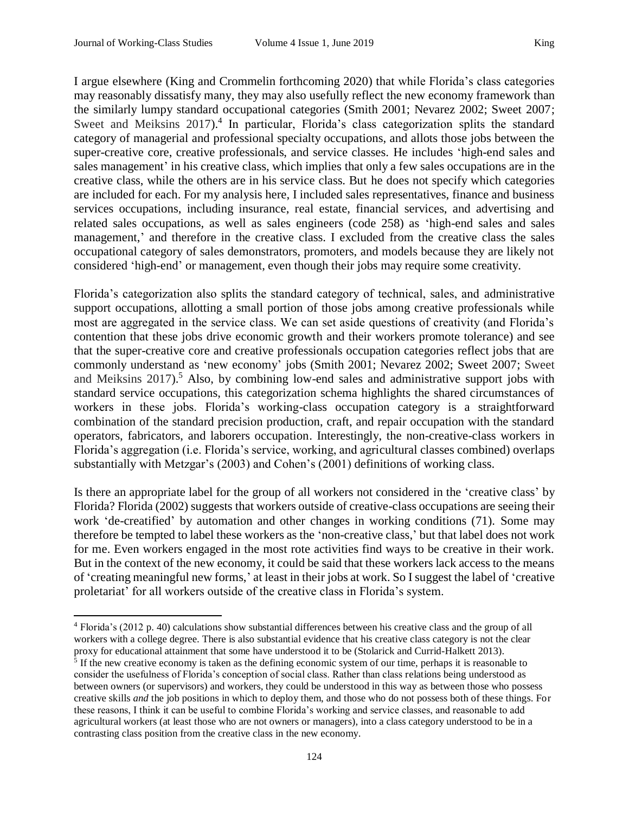l

I argue elsewhere (King and Crommelin forthcoming 2020) that while Florida's class categories may reasonably dissatisfy many, they may also usefully reflect the new economy framework than the similarly lumpy standard occupational categories (Smith 2001; Nevarez 2002; Sweet 2007; Sweet and Meiksins 2017).<sup>4</sup> In particular, Florida's class categorization splits the standard category of managerial and professional specialty occupations, and allots those jobs between the super-creative core, creative professionals, and service classes. He includes 'high-end sales and sales management' in his creative class, which implies that only a few sales occupations are in the creative class, while the others are in his service class. But he does not specify which categories are included for each. For my analysis here, I included sales representatives, finance and business services occupations, including insurance, real estate, financial services, and advertising and related sales occupations, as well as sales engineers (code 258) as 'high-end sales and sales management,' and therefore in the creative class. I excluded from the creative class the sales occupational category of sales demonstrators, promoters, and models because they are likely not considered 'high-end' or management, even though their jobs may require some creativity.

Florida's categorization also splits the standard category of technical, sales, and administrative support occupations, allotting a small portion of those jobs among creative professionals while most are aggregated in the service class. We can set aside questions of creativity (and Florida's contention that these jobs drive economic growth and their workers promote tolerance) and see that the super-creative core and creative professionals occupation categories reflect jobs that are commonly understand as 'new economy' jobs (Smith 2001; Nevarez 2002; Sweet 2007; Sweet and Meiksins 2017). <sup>5</sup> Also, by combining low-end sales and administrative support jobs with standard service occupations, this categorization schema highlights the shared circumstances of workers in these jobs. Florida's working-class occupation category is a straightforward combination of the standard precision production, craft, and repair occupation with the standard operators, fabricators, and laborers occupation. Interestingly, the non-creative-class workers in Florida's aggregation (i.e. Florida's service, working, and agricultural classes combined) overlaps substantially with Metzgar's (2003) and Cohen's (2001) definitions of working class.

Is there an appropriate label for the group of all workers not considered in the 'creative class' by Florida? Florida (2002) suggests that workers outside of creative-class occupations are seeing their work 'de-creatified' by automation and other changes in working conditions (71). Some may therefore be tempted to label these workers as the 'non-creative class,' but that label does not work for me. Even workers engaged in the most rote activities find ways to be creative in their work. But in the context of the new economy, it could be said that these workers lack access to the means of 'creating meaningful new forms,' at least in their jobs at work. So I suggest the label of 'creative proletariat' for all workers outside of the creative class in Florida's system.

<sup>4</sup> Florida's (2012 p. 40) calculations show substantial differences between his creative class and the group of all workers with a college degree. There is also substantial evidence that his creative class category is not the clear proxy for educational attainment that some have understood it to be (Stolarick and Currid-Halkett 2013).

<sup>&</sup>lt;sup>5</sup> If the new creative economy is taken as the defining economic system of our time, perhaps it is reasonable to consider the usefulness of Florida's conception of social class. Rather than class relations being understood as between owners (or supervisors) and workers, they could be understood in this way as between those who possess creative skills *and* the job positions in which to deploy them, and those who do not possess both of these things. For these reasons, I think it can be useful to combine Florida's working and service classes, and reasonable to add agricultural workers (at least those who are not owners or managers), into a class category understood to be in a contrasting class position from the creative class in the new economy.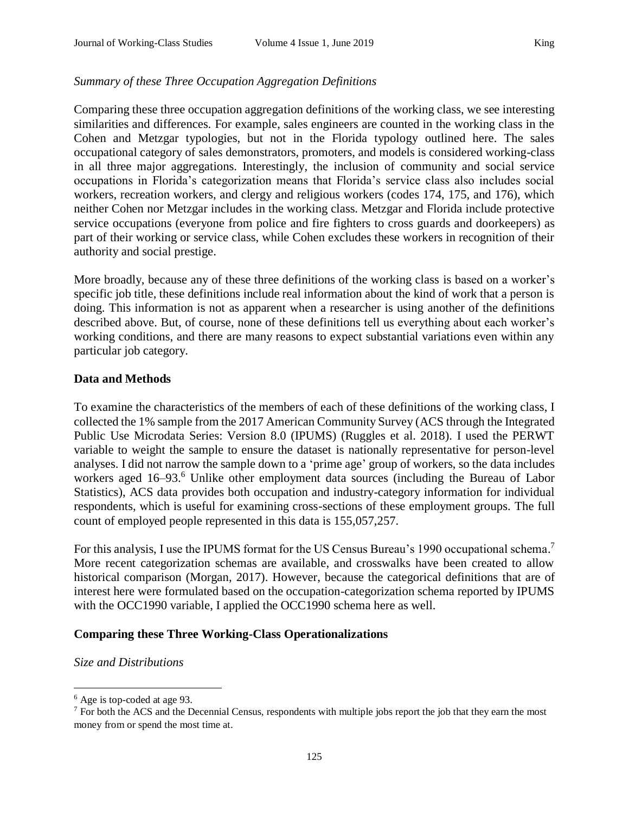# *Summary of these Three Occupation Aggregation Definitions*

Comparing these three occupation aggregation definitions of the working class, we see interesting similarities and differences. For example, sales engineers are counted in the working class in the Cohen and Metzgar typologies, but not in the Florida typology outlined here. The sales occupational category of sales demonstrators, promoters, and models is considered working-class in all three major aggregations. Interestingly, the inclusion of community and social service occupations in Florida's categorization means that Florida's service class also includes social workers, recreation workers, and clergy and religious workers (codes 174, 175, and 176), which neither Cohen nor Metzgar includes in the working class. Metzgar and Florida include protective service occupations (everyone from police and fire fighters to cross guards and doorkeepers) as part of their working or service class, while Cohen excludes these workers in recognition of their authority and social prestige.

More broadly, because any of these three definitions of the working class is based on a worker's specific job title, these definitions include real information about the kind of work that a person is doing. This information is not as apparent when a researcher is using another of the definitions described above. But, of course, none of these definitions tell us everything about each worker's working conditions, and there are many reasons to expect substantial variations even within any particular job category.

# **Data and Methods**

To examine the characteristics of the members of each of these definitions of the working class, I collected the 1% sample from the 2017 American Community Survey (ACS through the Integrated Public Use Microdata Series: Version 8.0 (IPUMS) (Ruggles et al. 2018). I used the PERWT variable to weight the sample to ensure the dataset is nationally representative for person-level analyses. I did not narrow the sample down to a 'prime age' group of workers, so the data includes workers aged 16–93.<sup>6</sup> Unlike other employment data sources (including the Bureau of Labor Statistics), ACS data provides both occupation and industry-category information for individual respondents, which is useful for examining cross-sections of these employment groups. The full count of employed people represented in this data is 155,057,257.

For this analysis, I use the IPUMS format for the US Census Bureau's 1990 occupational schema.<sup>7</sup> More recent categorization schemas are available, and crosswalks have been created to allow historical comparison (Morgan, 2017). However, because the categorical definitions that are of interest here were formulated based on the occupation-categorization schema reported by IPUMS with the OCC1990 variable, I applied the OCC1990 schema here as well.

# **Comparing these Three Working-Class Operationalizations**

# *Size and Distributions*

 $\overline{a}$ 

 $<sup>6</sup>$  Age is top-coded at age 93.</sup>

<sup>&</sup>lt;sup>7</sup> For both the ACS and the Decennial Census, respondents with multiple jobs report the job that they earn the most money from or spend the most time at.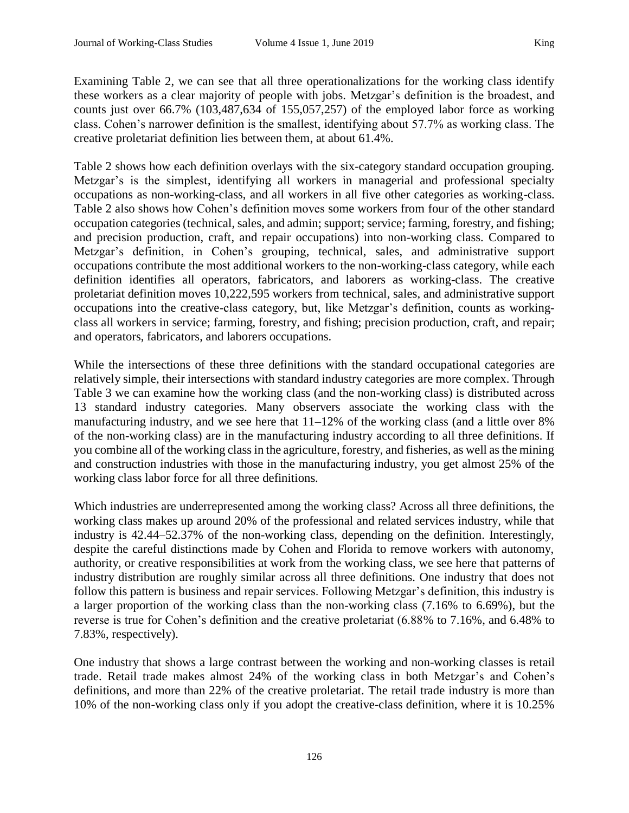Examining Table 2, we can see that all three operationalizations for the working class identify these workers as a clear majority of people with jobs. Metzgar's definition is the broadest, and counts just over 66.7% (103,487,634 of 155,057,257) of the employed labor force as working class. Cohen's narrower definition is the smallest, identifying about 57.7% as working class. The creative proletariat definition lies between them, at about 61.4%.

Table 2 shows how each definition overlays with the six-category standard occupation grouping. Metzgar's is the simplest, identifying all workers in managerial and professional specialty occupations as non-working-class, and all workers in all five other categories as working-class. Table 2 also shows how Cohen's definition moves some workers from four of the other standard occupation categories (technical, sales, and admin; support; service; farming, forestry, and fishing; and precision production, craft, and repair occupations) into non-working class. Compared to Metzgar's definition, in Cohen's grouping, technical, sales, and administrative support occupations contribute the most additional workers to the non-working-class category, while each definition identifies all operators, fabricators, and laborers as working-class. The creative proletariat definition moves 10,222,595 workers from technical, sales, and administrative support occupations into the creative-class category, but, like Metzgar's definition, counts as workingclass all workers in service; farming, forestry, and fishing; precision production, craft, and repair; and operators, fabricators, and laborers occupations.

While the intersections of these three definitions with the standard occupational categories are relatively simple, their intersections with standard industry categories are more complex. Through Table 3 we can examine how the working class (and the non-working class) is distributed across 13 standard industry categories. Many observers associate the working class with the manufacturing industry, and we see here that 11–12% of the working class (and a little over 8% of the non-working class) are in the manufacturing industry according to all three definitions. If you combine all of the working class in the agriculture, forestry, and fisheries, as well as the mining and construction industries with those in the manufacturing industry, you get almost 25% of the working class labor force for all three definitions.

Which industries are underrepresented among the working class? Across all three definitions, the working class makes up around 20% of the professional and related services industry, while that industry is 42.44–52.37% of the non-working class, depending on the definition. Interestingly, despite the careful distinctions made by Cohen and Florida to remove workers with autonomy, authority, or creative responsibilities at work from the working class, we see here that patterns of industry distribution are roughly similar across all three definitions. One industry that does not follow this pattern is business and repair services. Following Metzgar's definition, this industry is a larger proportion of the working class than the non-working class (7.16% to 6.69%), but the reverse is true for Cohen's definition and the creative proletariat (6.88% to 7.16%, and 6.48% to 7.83%, respectively).

One industry that shows a large contrast between the working and non-working classes is retail trade. Retail trade makes almost 24% of the working class in both Metzgar's and Cohen's definitions, and more than 22% of the creative proletariat. The retail trade industry is more than 10% of the non-working class only if you adopt the creative-class definition, where it is 10.25%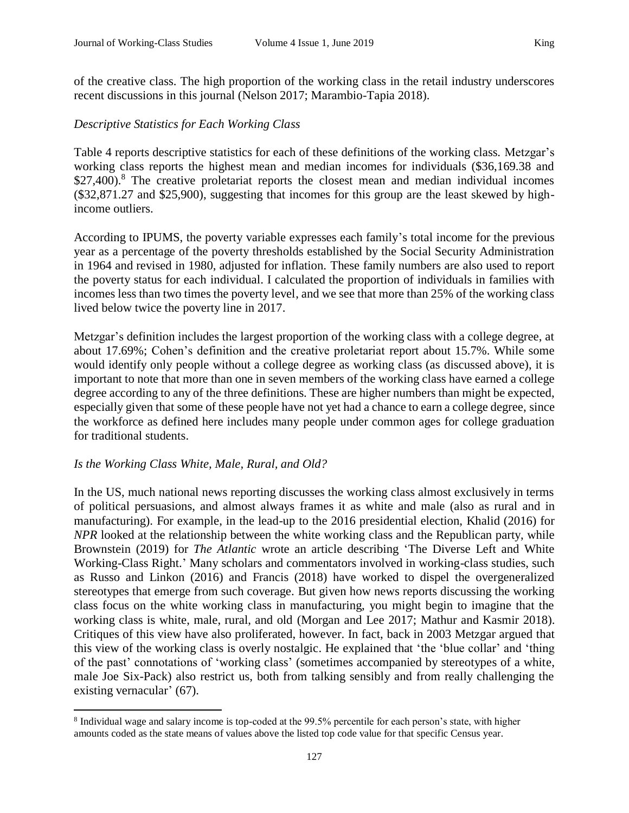of the creative class. The high proportion of the working class in the retail industry underscores recent discussions in this journal (Nelson 2017; Marambio-Tapia 2018).

## *Descriptive Statistics for Each Working Class*

Table 4 reports descriptive statistics for each of these definitions of the working class. Metzgar's working class reports the highest mean and median incomes for individuals (\$36,169.38 and \$27,400).<sup>8</sup> The creative proletariat reports the closest mean and median individual incomes (\$32,871.27 and \$25,900), suggesting that incomes for this group are the least skewed by highincome outliers.

According to IPUMS, the poverty variable expresses each family's total income for the previous year as a percentage of the poverty thresholds established by the Social Security Administration in 1964 and revised in 1980, adjusted for inflation. These family numbers are also used to report the poverty status for each individual. I calculated the proportion of individuals in families with incomes less than two times the poverty level, and we see that more than 25% of the working class lived below twice the poverty line in 2017.

Metzgar's definition includes the largest proportion of the working class with a college degree, at about 17.69%; Cohen's definition and the creative proletariat report about 15.7%. While some would identify only people without a college degree as working class (as discussed above), it is important to note that more than one in seven members of the working class have earned a college degree according to any of the three definitions. These are higher numbers than might be expected, especially given that some of these people have not yet had a chance to earn a college degree, since the workforce as defined here includes many people under common ages for college graduation for traditional students.

#### *Is the Working Class White, Male, Rural, and Old?*

 $\overline{a}$ 

In the US, much national news reporting discusses the working class almost exclusively in terms of political persuasions, and almost always frames it as white and male (also as rural and in manufacturing). For example, in the lead-up to the 2016 presidential election, Khalid (2016) for *NPR* looked at the relationship between the white working class and the Republican party, while Brownstein (2019) for *The Atlantic* wrote an article describing 'The Diverse Left and White Working-Class Right.' Many scholars and commentators involved in working-class studies, such as Russo and Linkon (2016) and Francis (2018) have worked to dispel the overgeneralized stereotypes that emerge from such coverage. But given how news reports discussing the working class focus on the white working class in manufacturing, you might begin to imagine that the working class is white, male, rural, and old (Morgan and Lee 2017; Mathur and Kasmir 2018). Critiques of this view have also proliferated, however. In fact, back in 2003 Metzgar argued that this view of the working class is overly nostalgic. He explained that 'the 'blue collar' and 'thing of the past' connotations of 'working class' (sometimes accompanied by stereotypes of a white, male Joe Six-Pack) also restrict us, both from talking sensibly and from really challenging the existing vernacular' (67).

<sup>&</sup>lt;sup>8</sup> Individual wage and salary income is top-coded at the 99.5% percentile for each person's state, with higher amounts coded as the state means of values above the listed top code value for that specific Census year.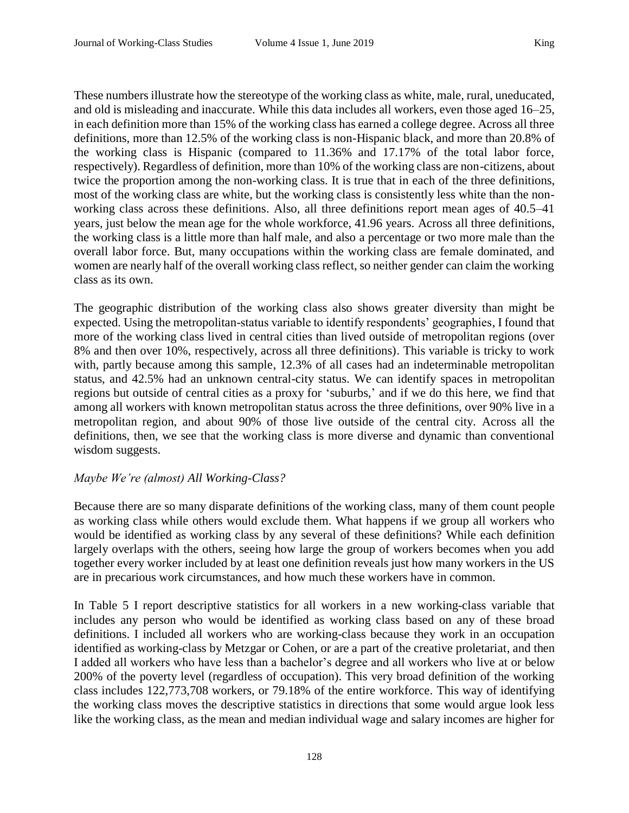These numbers illustrate how the stereotype of the working class as white, male, rural, uneducated, and old is misleading and inaccurate. While this data includes all workers, even those aged 16–25, in each definition more than 15% of the working class has earned a college degree. Across all three definitions, more than 12.5% of the working class is non-Hispanic black, and more than 20.8% of the working class is Hispanic (compared to 11.36% and 17.17% of the total labor force, respectively). Regardless of definition, more than 10% of the working class are non-citizens, about twice the proportion among the non-working class. It is true that in each of the three definitions, most of the working class are white, but the working class is consistently less white than the nonworking class across these definitions. Also, all three definitions report mean ages of 40.5–41 years, just below the mean age for the whole workforce, 41.96 years. Across all three definitions, the working class is a little more than half male, and also a percentage or two more male than the overall labor force. But, many occupations within the working class are female dominated, and women are nearly half of the overall working class reflect, so neither gender can claim the working class as its own.

The geographic distribution of the working class also shows greater diversity than might be expected. Using the metropolitan-status variable to identify respondents' geographies, I found that more of the working class lived in central cities than lived outside of metropolitan regions (over 8% and then over 10%, respectively, across all three definitions). This variable is tricky to work with, partly because among this sample, 12.3% of all cases had an indeterminable metropolitan status, and 42.5% had an unknown central-city status. We can identify spaces in metropolitan regions but outside of central cities as a proxy for 'suburbs,' and if we do this here, we find that among all workers with known metropolitan status across the three definitions, over 90% live in a metropolitan region, and about 90% of those live outside of the central city. Across all the definitions, then, we see that the working class is more diverse and dynamic than conventional wisdom suggests.

# *Maybe We're (almost) All Working-Class?*

Because there are so many disparate definitions of the working class, many of them count people as working class while others would exclude them. What happens if we group all workers who would be identified as working class by any several of these definitions? While each definition largely overlaps with the others, seeing how large the group of workers becomes when you add together every worker included by at least one definition reveals just how many workers in the US are in precarious work circumstances, and how much these workers have in common.

In Table 5 I report descriptive statistics for all workers in a new working-class variable that includes any person who would be identified as working class based on any of these broad definitions. I included all workers who are working-class because they work in an occupation identified as working-class by Metzgar or Cohen, or are a part of the creative proletariat, and then I added all workers who have less than a bachelor's degree and all workers who live at or below 200% of the poverty level (regardless of occupation). This very broad definition of the working class includes 122,773,708 workers, or 79.18% of the entire workforce. This way of identifying the working class moves the descriptive statistics in directions that some would argue look less like the working class, as the mean and median individual wage and salary incomes are higher for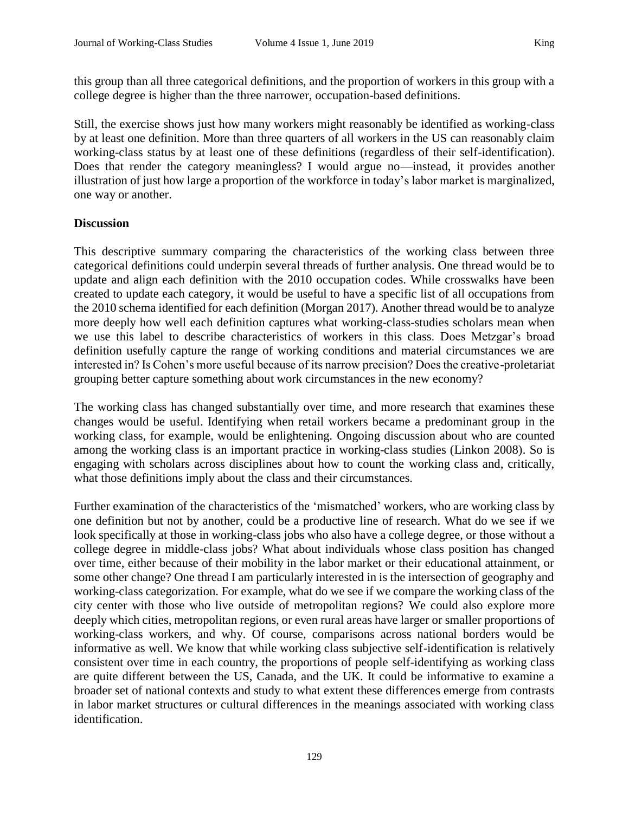this group than all three categorical definitions, and the proportion of workers in this group with a college degree is higher than the three narrower, occupation-based definitions.

Still, the exercise shows just how many workers might reasonably be identified as working-class by at least one definition. More than three quarters of all workers in the US can reasonably claim working-class status by at least one of these definitions (regardless of their self-identification). Does that render the category meaningless? I would argue no—instead, it provides another illustration of just how large a proportion of the workforce in today's labor market is marginalized, one way or another.

### **Discussion**

This descriptive summary comparing the characteristics of the working class between three categorical definitions could underpin several threads of further analysis. One thread would be to update and align each definition with the 2010 occupation codes. While crosswalks have been created to update each category, it would be useful to have a specific list of all occupations from the 2010 schema identified for each definition (Morgan 2017). Another thread would be to analyze more deeply how well each definition captures what working-class-studies scholars mean when we use this label to describe characteristics of workers in this class. Does Metzgar's broad definition usefully capture the range of working conditions and material circumstances we are interested in? Is Cohen's more useful because of its narrow precision? Does the creative-proletariat grouping better capture something about work circumstances in the new economy?

The working class has changed substantially over time, and more research that examines these changes would be useful. Identifying when retail workers became a predominant group in the working class, for example, would be enlightening. Ongoing discussion about who are counted among the working class is an important practice in working-class studies (Linkon 2008). So is engaging with scholars across disciplines about how to count the working class and, critically, what those definitions imply about the class and their circumstances.

Further examination of the characteristics of the 'mismatched' workers, who are working class by one definition but not by another, could be a productive line of research. What do we see if we look specifically at those in working-class jobs who also have a college degree, or those without a college degree in middle-class jobs? What about individuals whose class position has changed over time, either because of their mobility in the labor market or their educational attainment, or some other change? One thread I am particularly interested in is the intersection of geography and working-class categorization. For example, what do we see if we compare the working class of the city center with those who live outside of metropolitan regions? We could also explore more deeply which cities, metropolitan regions, or even rural areas have larger or smaller proportions of working-class workers, and why. Of course, comparisons across national borders would be informative as well. We know that while working class subjective self-identification is relatively consistent over time in each country, the proportions of people self-identifying as working class are quite different between the US, Canada, and the UK. It could be informative to examine a broader set of national contexts and study to what extent these differences emerge from contrasts in labor market structures or cultural differences in the meanings associated with working class identification.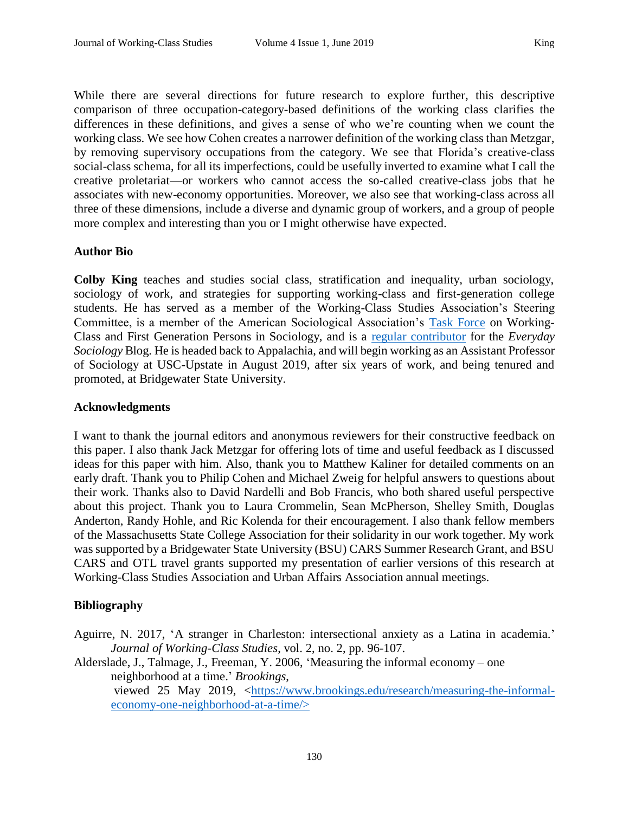While there are several directions for future research to explore further, this descriptive comparison of three occupation-category-based definitions of the working class clarifies the differences in these definitions, and gives a sense of who we're counting when we count the working class. We see how Cohen creates a narrower definition of the working class than Metzgar, by removing supervisory occupations from the category. We see that Florida's creative-class social-class schema, for all its imperfections, could be usefully inverted to examine what I call the creative proletariat—or workers who cannot access the so-called creative-class jobs that he associates with new-economy opportunities. Moreover, we also see that working-class across all three of these dimensions, include a diverse and dynamic group of workers, and a group of people more complex and interesting than you or I might otherwise have expected.

### **Author Bio**

**Colby King** teaches and studies social class, stratification and inequality, urban sociology, sociology of work, and strategies for supporting working-class and first-generation college students. He has served as a member of the Working-Class Studies Association's Steering Committee, is a member of the American Sociological Association's [Task Force](https://www.asanet.org/news-events/asa-news/task-force-first-generation-and-working-class-persons-sociology-0) on Working-Class and First Generation Persons in Sociology, and is a [regular contributor](https://www.everydaysociologyblog.com/colby-king/) for the *Everyday Sociology* Blog. He is headed back to Appalachia, and will begin working as an Assistant Professor of Sociology at USC-Upstate in August 2019, after six years of work, and being tenured and promoted, at Bridgewater State University.

#### **Acknowledgments**

I want to thank the journal editors and anonymous reviewers for their constructive feedback on this paper. I also thank Jack Metzgar for offering lots of time and useful feedback as I discussed ideas for this paper with him. Also, thank you to Matthew Kaliner for detailed comments on an early draft. Thank you to Philip Cohen and Michael Zweig for helpful answers to questions about their work. Thanks also to David Nardelli and Bob Francis, who both shared useful perspective about this project. Thank you to Laura Crommelin, Sean McPherson, Shelley Smith, Douglas Anderton, Randy Hohle, and Ric Kolenda for their encouragement. I also thank fellow members of the Massachusetts State College Association for their solidarity in our work together. My work was supported by a Bridgewater State University (BSU) CARS Summer Research Grant, and BSU CARS and OTL travel grants supported my presentation of earlier versions of this research at Working-Class Studies Association and Urban Affairs Association annual meetings.

# **Bibliography**

Aguirre, N. 2017, 'A stranger in Charleston: intersectional anxiety as a Latina in academia.' *Journal of Working-Class Studies*, vol. 2, no. 2, pp. 96-107.

Alderslade, J., Talmage, J., Freeman, Y. 2006, 'Measuring the informal economy – one neighborhood at a time.' *Brookings*, viewed 25 May 2019, [<https://www.brookings.edu/research/measuring-the-informal](https://www.brookings.edu/research/measuring-the-informal-economy-one-neighborhood-at-a-time/)[economy-one-neighborhood-at-a-time/>](https://www.brookings.edu/research/measuring-the-informal-economy-one-neighborhood-at-a-time/)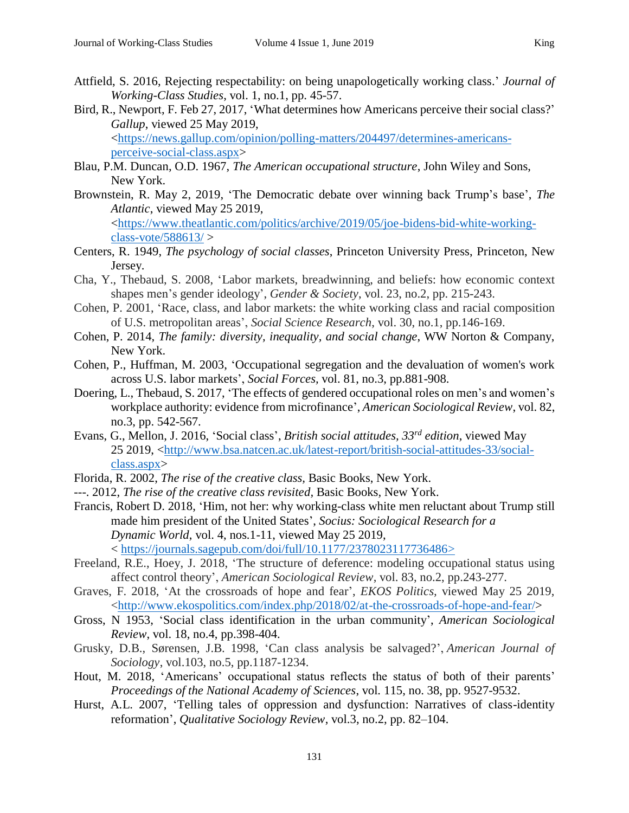- Attfield, S. 2016, Rejecting respectability: on being unapologetically working class.' *Journal of Working-Class Studies*, vol. 1, no.1, pp. 45-57.
- Bird, R., Newport, F. Feb 27, 2017, 'What determines how Americans perceive their social class?' *Gallup*, viewed 25 May 2019, [<https://news.gallup.com/opinion/polling-matters/204497/determines-americans-](https://news.gallup.com/opinion/polling-matters/204497/determines-americans-perceive-social-class.aspx)

[perceive-social-class.aspx>](https://news.gallup.com/opinion/polling-matters/204497/determines-americans-perceive-social-class.aspx)

- Blau, P.M. Duncan, O.D. 1967, *The American occupational structure*, John Wiley and Sons, New York.
- Brownstein, R. May 2, 2019, 'The Democratic debate over winning back Trump's base', *The Atlantic*, viewed May 25 2019, [<https://www.theatlantic.com/politics/archive/2019/05/joe-bidens-bid-white-working](https://www.theatlantic.com/politics/archive/2019/05/joe-bidens-bid-white-working-class-vote/588613/)[class-vote/588613/](https://www.theatlantic.com/politics/archive/2019/05/joe-bidens-bid-white-working-class-vote/588613/) >
- Centers, R. 1949, *The psychology of social classes*, Princeton University Press, Princeton, New Jersey.
- Cha, Y., Thebaud, S. 2008, 'Labor markets, breadwinning, and beliefs: how economic context shapes men's gender ideology', *Gender & Society*, vol. 23, no.2, pp. 215-243.
- Cohen, P. 2001, 'Race, class, and labor markets: the white working class and racial composition of U.S. metropolitan areas', *Social Science Research*, vol. 30, no.1, pp.146-169.
- Cohen, P. 2014, *The family: diversity, inequality, and social change*, WW Norton & Company, New York.
- Cohen, P., Huffman, M. 2003, 'Occupational segregation and the devaluation of women's work across U.S. labor markets', *Social Forces,* vol. 81, no.3, pp.881-908.
- Doering, L., Thebaud, S. 2017, 'The effects of gendered occupational roles on men's and women's workplace authority: evidence from microfinance', *American Sociological Review*, vol. 82, no.3, pp. 542-567.
- Evans, G., Mellon, J. 2016, 'Social class', *British social attitudes, 33rd edition*, viewed May 25 2019, [<http://www.bsa.natcen.ac.uk/latest-report/british-social-attitudes-33/social](http://www.bsa.natcen.ac.uk/latest-report/british-social-attitudes-33/social-%20%20class.aspx)[class.aspx>](http://www.bsa.natcen.ac.uk/latest-report/british-social-attitudes-33/social-%20%20class.aspx)
- Florida, R. 2002, *The rise of the creative class,* Basic Books, New York.
- ---. 2012, *The rise of the creative class revisited,* Basic Books*,* New York.
- Francis, Robert D. 2018, 'Him, not her: why working-class white men reluctant about Trump still made him president of the United States', *Socius: Sociological Research for a Dynamic World*, vol. 4, nos.1-11, viewed May 25 2019, < [https://journals.sagepub.com/doi/full/10.1177/2378023117736486>](https://journals.sagepub.com/doi/full/10.1177/2378023117736486)
- Freeland, R.E., Hoey, J. 2018, 'The structure of deference: modeling occupational status using affect control theory', *American Sociological Review*, vol. 83, no.2, pp.243-277.
- Graves, F. 2018, 'At the crossroads of hope and fear', *EKOS Politics,* viewed May 25 2019, [<http://www.ekospolitics.com/index.php/2018/02/at-the-crossroads-of-hope-and-fear/>](http://www.ekospolitics.com/index.php/2018/02/at-the-crossroads-of-hope-and-fear/)
- Gross, N 1953, 'Social class identification in the urban community', *American Sociological Review*, vol. 18, no.4, pp.398-404.
- Grusky, D.B., Sørensen, J.B. 1998, 'Can class analysis be salvaged?', *American Journal of Sociology*, vol.103, no.5, pp.1187-1234.
- Hout, M. 2018, 'Americans' occupational status reflects the status of both of their parents' *Proceedings of the National Academy of Sciences*, vol*.* 115, no. 38, pp. 9527-9532.
- Hurst, A.L. 2007, 'Telling tales of oppression and dysfunction: Narratives of class-identity reformation', *Qualitative Sociology Review*, vol.3, no.2, pp. 82–104.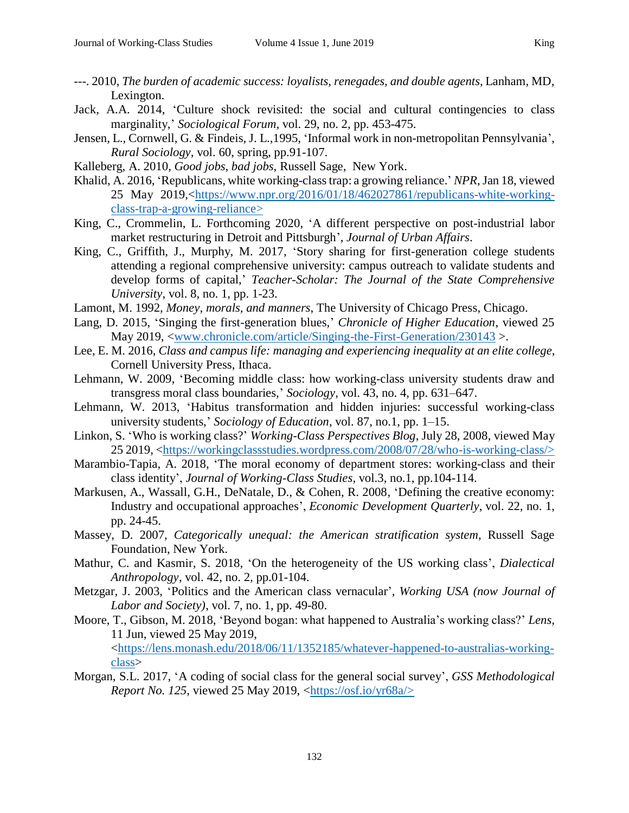- ---. 2010, *The burden of academic success: loyalists, renegades, and double agents*, Lanham, MD, Lexington.
- Jack, A.A. 2014, 'Culture shock revisited: the social and cultural contingencies to class marginality,' *Sociological Forum*, vol. 29, no. 2, pp. 453-475.
- Jensen, L., Cornwell, G. & Findeis, J. L.,1995, 'Informal work in non-metropolitan Pennsylvania', *Rural Sociology*, vol. 60, spring, pp.91-107.
- Kalleberg, A. 2010, *Good jobs, bad jobs*, Russell Sage, New York.
- Khalid, A. 2016, 'Republicans, white working-class trap: a growing reliance.' *NPR*, Jan 18, viewed 25 May 2019,[<https://www.npr.org/2016/01/18/462027861/republicans-white-working](https://www.npr.org/2016/01/18/462027861/republicans-white-working-class-trap-a-growing-reliance)[class-trap-a-growing-reliance>](https://www.npr.org/2016/01/18/462027861/republicans-white-working-class-trap-a-growing-reliance)
- King, C., Crommelin, L. Forthcoming 2020, 'A different perspective on post-industrial labor market restructuring in Detroit and Pittsburgh', *Journal of Urban Affairs*.
- King, C., Griffith, J., Murphy, M. 2017, 'Story sharing for first-generation college students attending a regional comprehensive university: campus outreach to validate students and develop forms of capital,' *Teacher-Scholar: The Journal of the State Comprehensive University*, vol. 8, no. 1, pp. 1-23.
- Lamont, M. 1992, *Money, morals, and manners*, The University of Chicago Press, Chicago.
- Lang, D. 2015, 'Singing the first-generation blues,' *Chronicle of Higher Education*, viewed 25 May 2019, [<www.chronicle.com/article/Singing-the-First-Generation/230143](http://www.chronicle.com/article/Singing-the-First-Generation/230143) >.
- Lee, E. M. 2016, *Class and campus life: managing and experiencing inequality at an elite college*, Cornell University Press, Ithaca.
- Lehmann, W. 2009, 'Becoming middle class: how working-class university students draw and transgress moral class boundaries,' *Sociology*, vol. 43, no. 4, pp. 631–647.
- Lehmann, W. 2013, 'Habitus transformation and hidden injuries: successful working-class university students,' *Sociology of Education*, vol. 87, no.1, pp. 1–15.
- Linkon, S. 'Who is working class?' *Working-Class Perspectives Blog*, July 28, 2008, viewed May 25 2019, [<https://workingclassstudies.wordpress.com/2008/07/28/who-is-working-class/>](https://workingclassstudies.wordpress.com/2008/07/28/who-is-working-class/)
- Marambio-Tapia, A. 2018, 'The moral economy of department stores: working-class and their class identity', *Journal of Working-Class Studies*, vol.3, no.1, pp.104-114.
- Markusen, A., Wassall, G.H., DeNatale, D., & Cohen, R. 2008, 'Defining the creative economy: Industry and occupational approaches', *Economic Development Quarterly*, vol. 22, no. 1, pp. 24-45.
- Massey, D. 2007, *Categorically unequal: the American stratification system*, Russell Sage Foundation, New York.
- Mathur, C. and Kasmir, S. 2018, 'On the heterogeneity of the US working class', *Dialectical Anthropology*, vol. 42, no. 2, pp.01-104.
- Metzgar, J. 2003, 'Politics and the American class vernacular', *Working USA (now Journal of Labor and Society)*, vol. 7, no. 1, pp. 49-80.
- Moore, T., Gibson, M. 2018, 'Beyond bogan: what happened to Australia's working class?' *Lens,*  11 Jun, viewed 25 May 2019, [<https://lens.monash.edu/2018/06/11/1352185/whatever-happened-to-australias-working-](https://lens.monash.edu/2018/06/11/1352185/whatever-happened-to-australias-working-class)
- [class>](https://lens.monash.edu/2018/06/11/1352185/whatever-happened-to-australias-working-class) Morgan, S.L. 2017, 'A coding of social class for the general social survey', *GSS Methodological Report No. 125*, viewed 25 May 2019, [<https://osf.io/yr68a/>](https://osf.io/yr68a/)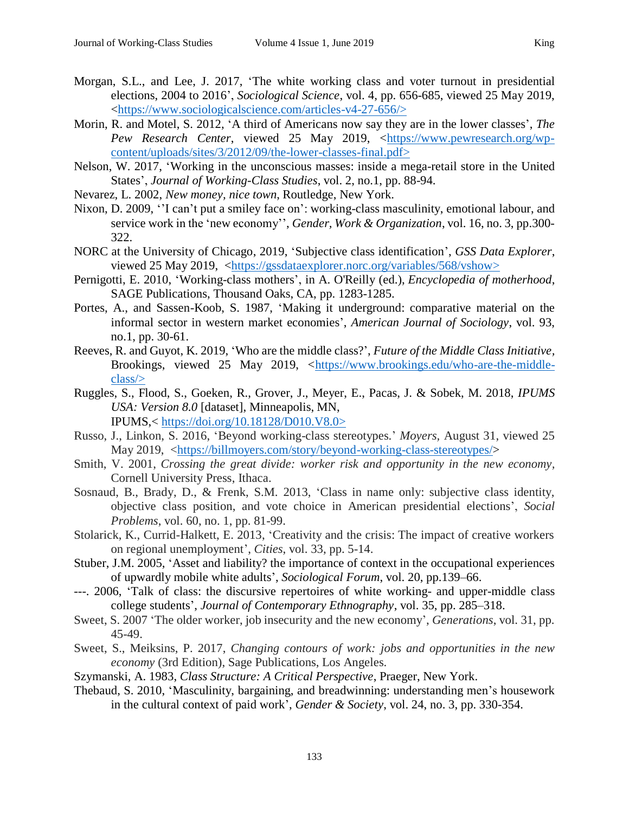- Morgan, S.L., and Lee, J. 2017, 'The white working class and voter turnout in presidential elections, 2004 to 2016', *Sociological Science*, vol. 4, pp. 656-685, viewed 25 May 2019, [<https://www.sociologicalscience.com/articles-v4-27-656/>](https://www.sociologicalscience.com/articles-v4-27-656/)
- Morin, R. and Motel, S. 2012, 'A third of Americans now say they are in the lower classes', *The Pew Research Center*, viewed 25 May 2019, [<https://www.pewresearch.org/wp](https://www.pewresearch.org/wp-content/uploads/sites/3/2012/09/the-lower-classes-final.pdf)[content/uploads/sites/3/2012/09/the-lower-classes-final.pdf>](https://www.pewresearch.org/wp-content/uploads/sites/3/2012/09/the-lower-classes-final.pdf)
- Nelson, W. 2017, 'Working in the unconscious masses: inside a mega-retail store in the United States', *Journal of Working-Class Studies*, vol. 2, no.1, pp. 88-94.
- Nevarez, L. 2002, *New money, nice town*, Routledge, New York.
- Nixon, D. 2009, ''I can't put a smiley face on': working-class masculinity, emotional labour, and service work in the 'new economy'', *Gender, Work & Organization*, vol. 16, no. 3, pp.300- 322.
- NORC at the University of Chicago, 2019, 'Subjective class identification', *GSS Data Explorer*, viewed 25 May 2019, [<https://gssdataexplorer.norc.org/variables/568/vshow>](https://gssdataexplorer.norc.org/variables/568/vshow)
- Pernigotti, E. 2010, 'Working-class mothers', in A. O'Reilly (ed.), *Encyclopedia of motherhood*, SAGE Publications, Thousand Oaks, CA, pp. 1283-1285.
- Portes, A., and Sassen-Koob, S. 1987, 'Making it underground: comparative material on the informal sector in western market economies', *American Journal of Sociology*, vol. 93, no.1, pp. 30-61.
- Reeves, R. and Guyot, K. 2019, 'Who are the middle class?', *Future of the Middle Class Initiative,* Brookings, viewed 25 May 2019, [<https://www.brookings.edu/who-are-the-middle](https://www.brookings.edu/who-are-the-middle-class/)[class/>](https://www.brookings.edu/who-are-the-middle-class/)
- Ruggles, S., Flood, S., Goeken, R., Grover, J., Meyer, E., Pacas, J. & Sobek, M. 2018, *IPUMS USA: Version 8.0* [dataset], Minneapolis, MN, IPUMS,< [https://doi.org/10.18128/D010.V8.0>](https://doi.org/10.18128/D010.V8.0)
- Russo, J., Linkon, S. 2016, 'Beyond working-class stereotypes.' *Moyers,* August 31, viewed 25 May 2019, [<https://billmoyers.com/story/beyond-working-class-stereotypes/>](https://billmoyers.com/story/beyond-working-class-stereotypes/)
- Smith, V. 2001, *Crossing the great divide: worker risk and opportunity in the new economy,* Cornell University Press, Ithaca.
- Sosnaud, B., Brady, D., & Frenk, S.M. 2013, 'Class in name only: subjective class identity, objective class position, and vote choice in American presidential elections', *Social Problems*, vol. 60, no. 1, pp. 81-99.
- Stolarick, K., Currid-Halkett, E. 2013, 'Creativity and the crisis: The impact of creative workers on regional unemployment', *Cities*, vol. 33, pp. 5-14.
- Stuber, J.M. 2005, 'Asset and liability? the importance of context in the occupational experiences of upwardly mobile white adults', *Sociological Forum*, vol. 20, pp.139–66.
- ---. 2006, 'Talk of class: the discursive repertoires of white working- and upper-middle class college students', *Journal of Contemporary Ethnography*, vol. 35, pp. 285–318.
- Sweet, S. 2007 'The older worker, job insecurity and the new economy', *Generations*, vol. 31, pp. 45-49.
- Sweet, S., Meiksins, P. 2017, *Changing contours of work: jobs and opportunities in the new economy* (3rd Edition), Sage Publications, Los Angeles.
- Szymanski, A. 1983, *Class Structure: A Critical Perspective*, Praeger, New York.
- Thebaud, S. 2010, 'Masculinity, bargaining, and breadwinning: understanding men's housework in the cultural context of paid work', *Gender & Society*, vol. 24, no. 3, pp. 330-354.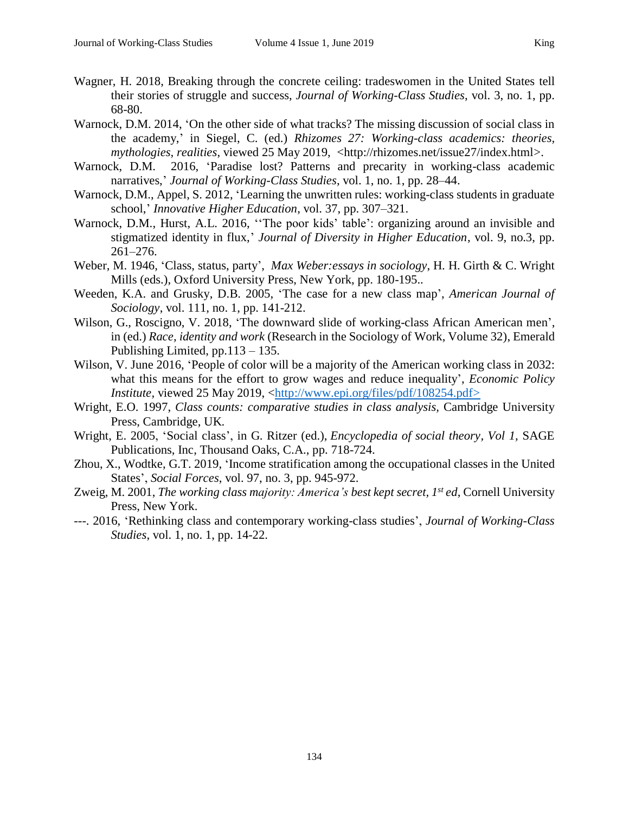- Wagner, H. 2018, Breaking through the concrete ceiling: tradeswomen in the United States tell their stories of struggle and success, *Journal of Working-Class Studies*, vol. 3, no. 1, pp. 68-80.
- Warnock, D.M. 2014, 'On the other side of what tracks? The missing discussion of social class in the academy,' in Siegel, C. (ed.) *Rhizomes 27: Working-class academics: theories, mythologies, realities*, viewed 25 May 2019, <http://rhizomes.net/issue27/index.html>.
- Warnock, D.M. 2016, 'Paradise lost? Patterns and precarity in working-class academic narratives,' *Journal of Working-Class Studies*, vol. 1, no. 1, pp. 28–44.
- Warnock, D.M., Appel, S. 2012, 'Learning the unwritten rules: working-class students in graduate school,' *Innovative Higher Education*, vol. 37, pp. 307–321.
- Warnock, D.M., Hurst, A.L. 2016, ''The poor kids' table': organizing around an invisible and stigmatized identity in flux,' *Journal of Diversity in Higher Education*, vol. 9, no.3, pp. 261–276.
- Weber, M. 1946, 'Class, status, party', *Max Weber:essays in sociology*, H. H. Girth & C. Wright Mills (eds.), Oxford University Press, New York, pp. 180-195..
- Weeden, K.A. and Grusky, D.B. 2005, 'The case for a new class map', *American Journal of Sociology*, vol. 111, no. 1, pp. 141-212.
- Wilson, G., Roscigno, V. 2018, 'The downward slide of working-class African American men', in (ed.) *Race, identity and work* (Research in the Sociology of Work, Volume 32), Emerald Publishing Limited, pp.113 – 135.
- Wilson, V. June 2016, 'People of color will be a majority of the American working class in 2032: what this means for the effort to grow wages and reduce inequality', *Economic Policy Institute,* viewed 25 May 2019, [<http://www.epi.org/files/pdf/108254.pdf>](http://www.epi.org/files/pdf/108254.pdf)
- Wright, E.O. 1997, *Class counts: comparative studies in class analysis,* Cambridge University Press, Cambridge, UK.
- Wright, E. 2005, 'Social class', in G. Ritzer (ed.), *Encyclopedia of social theory, Vol 1,* SAGE Publications, Inc, Thousand Oaks, C.A., pp. 718-724.
- Zhou, X., Wodtke, G.T. 2019, 'Income stratification among the occupational classes in the United States', *Social Forces*, vol. 97, no. 3, pp. 945-972.
- Zweig, M. 2001, *The working class majority: America's best kept secret, 1st ed*, Cornell University Press, New York.
- ---. 2016, 'Rethinking class and contemporary working-class studies', *Journal of Working-Class Studies*, vol. 1, no. 1, pp. 14-22.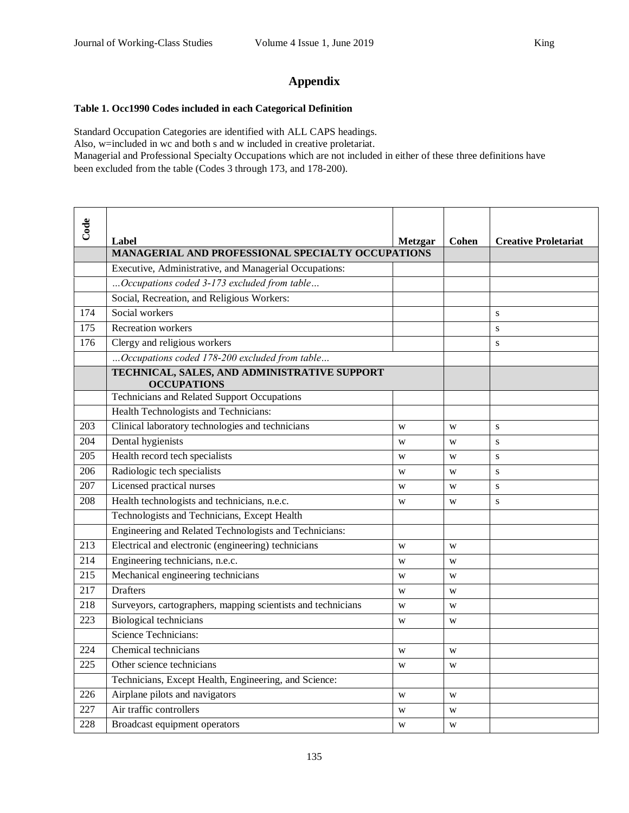# **Appendix**

#### **Table 1. Occ1990 Codes included in each Categorical Definition**

Standard Occupation Categories are identified with ALL CAPS headings. Also, w=included in wc and both s and w included in creative proletariat. Managerial and Professional Specialty Occupations which are not included in either of these three definitions have been excluded from the table (Codes 3 through 173, and 178-200).

| Code             |                                                                    |                |              |                             |
|------------------|--------------------------------------------------------------------|----------------|--------------|-----------------------------|
|                  | Label                                                              | <b>Metzgar</b> | <b>Cohen</b> | <b>Creative Proletariat</b> |
|                  | MANAGERIAL AND PROFESSIONAL SPECIALTY OCCUPATIONS                  |                |              |                             |
|                  | Executive, Administrative, and Managerial Occupations:             |                |              |                             |
|                  | Occupations coded 3-173 excluded from table                        |                |              |                             |
|                  | Social, Recreation, and Religious Workers:                         |                |              |                             |
| 174              | Social workers                                                     |                |              | S                           |
| $\overline{175}$ | <b>Recreation workers</b>                                          |                |              | S                           |
| 176              | Clergy and religious workers                                       |                |              | S                           |
|                  | Occupations coded 178-200 excluded from table                      |                |              |                             |
|                  | TECHNICAL, SALES, AND ADMINISTRATIVE SUPPORT<br><b>OCCUPATIONS</b> |                |              |                             |
|                  | <b>Technicians and Related Support Occupations</b>                 |                |              |                             |
|                  | Health Technologists and Technicians:                              |                |              |                             |
| 203              | Clinical laboratory technologies and technicians                   | W              | W            | S                           |
| $\overline{204}$ | Dental hygienists                                                  | W              | W            | S                           |
| $\overline{205}$ | Health record tech specialists                                     | W              | W            | S                           |
| 206              | Radiologic tech specialists                                        | W              | W            | S                           |
| $\overline{207}$ | Licensed practical nurses                                          | W              | W            | S                           |
| 208              | Health technologists and technicians, n.e.c.                       | W              | W            | S                           |
|                  | Technologists and Technicians, Except Health                       |                |              |                             |
|                  | Engineering and Related Technologists and Technicians:             |                |              |                             |
| 213              | Electrical and electronic (engineering) technicians                | W              | W            |                             |
| 214              | Engineering technicians, n.e.c.                                    | W              | W            |                             |
| 215              | Mechanical engineering technicians                                 | W              | W            |                             |
| $\overline{217}$ | <b>Drafters</b>                                                    | W              | W            |                             |
| 218              | Surveyors, cartographers, mapping scientists and technicians       | W              | W            |                             |
| 223              | <b>Biological</b> technicians                                      | W              | W            |                             |
|                  | <b>Science Technicians:</b>                                        |                |              |                             |
| 224              | Chemical technicians                                               | W              | W            |                             |
| 225              | Other science technicians                                          | W              | W            |                             |
|                  | Technicians, Except Health, Engineering, and Science:              |                |              |                             |
| 226              | Airplane pilots and navigators                                     | W              | W            |                             |
| 227              | Air traffic controllers                                            | W              | W            |                             |
| 228              | Broadcast equipment operators                                      | W              | W            |                             |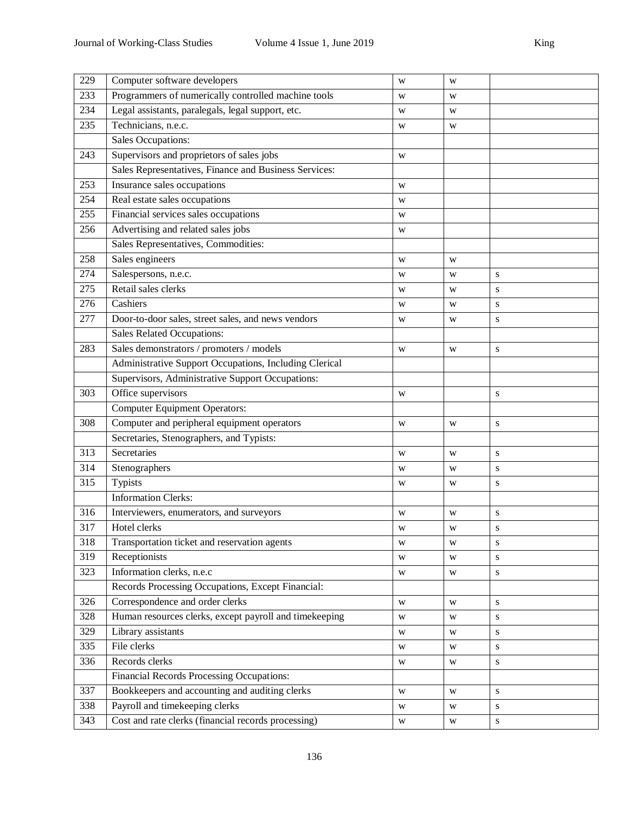| 229 | Computer software developers                           | W | W           |           |
|-----|--------------------------------------------------------|---|-------------|-----------|
| 233 | Programmers of numerically controlled machine tools    | W | W           |           |
| 234 | Legal assistants, paralegals, legal support, etc.      | W | W           |           |
| 235 | Technicians, n.e.c.                                    | W | W           |           |
|     | Sales Occupations:                                     |   |             |           |
| 243 | Supervisors and proprietors of sales jobs              | W |             |           |
|     | Sales Representatives, Finance and Business Services:  |   |             |           |
| 253 | Insurance sales occupations                            | W |             |           |
| 254 | Real estate sales occupations                          | W |             |           |
| 255 | Financial services sales occupations                   | W |             |           |
| 256 | Advertising and related sales jobs                     | W |             |           |
|     | Sales Representatives, Commodities:                    |   |             |           |
| 258 | Sales engineers                                        | W | W           |           |
| 274 | Salespersons, n.e.c.                                   | W | W           | S         |
| 275 | Retail sales clerks                                    | W | W           | S         |
| 276 | Cashiers                                               | W | W           | S         |
| 277 | Door-to-door sales, street sales, and news vendors     | W | W           | S         |
|     | Sales Related Occupations:                             |   |             |           |
| 283 | Sales demonstrators / promoters / models               | W | W           | ${\bf S}$ |
|     | Administrative Support Occupations, Including Clerical |   |             |           |
|     | Supervisors, Administrative Support Occupations:       |   |             |           |
| 303 | Office supervisors                                     | W |             | S         |
|     | <b>Computer Equipment Operators:</b>                   |   |             |           |
| 308 | Computer and peripheral equipment operators            | W | W           | ${\bf S}$ |
|     | Secretaries, Stenographers, and Typists:               |   |             |           |
| 313 | Secretaries                                            | W | W           | S         |
| 314 | Stenographers                                          | W | W           | S         |
| 315 | Typists                                                | W | W           | ${\bf S}$ |
|     | <b>Information Clerks:</b>                             |   |             |           |
| 316 | Interviewers, enumerators, and surveyors               | W | W           | ${\bf S}$ |
| 317 | Hotel clerks                                           | W | W           | ${\bf S}$ |
| 318 | Transportation ticket and reservation agents           | W | W           | ${\bf S}$ |
| 319 | Receptionists                                          | W | W           | ${\bf S}$ |
| 323 | Information clerks, n.e.c                              | W | W           | ${\bf S}$ |
|     | Records Processing Occupations, Except Financial:      |   |             |           |
| 326 | Correspondence and order clerks                        | W | W           | ${\bf S}$ |
| 328 | Human resources clerks, except payroll and timekeeping | W | W           | ${\bf S}$ |
| 329 | Library assistants                                     | W | W           | ${\bf S}$ |
| 335 | File clerks                                            | W | W           | ${\bf S}$ |
| 336 | Records clerks                                         | W | W           | ${\bf S}$ |
|     | Financial Records Processing Occupations:              |   |             |           |
| 337 | Bookkeepers and accounting and auditing clerks         | W | W           | ${\bf S}$ |
| 338 | Payroll and timekeeping clerks                         | W | W           | ${\bf S}$ |
| 343 | Cost and rate clerks (financial records processing)    | W | $\mathbf W$ | ${\bf S}$ |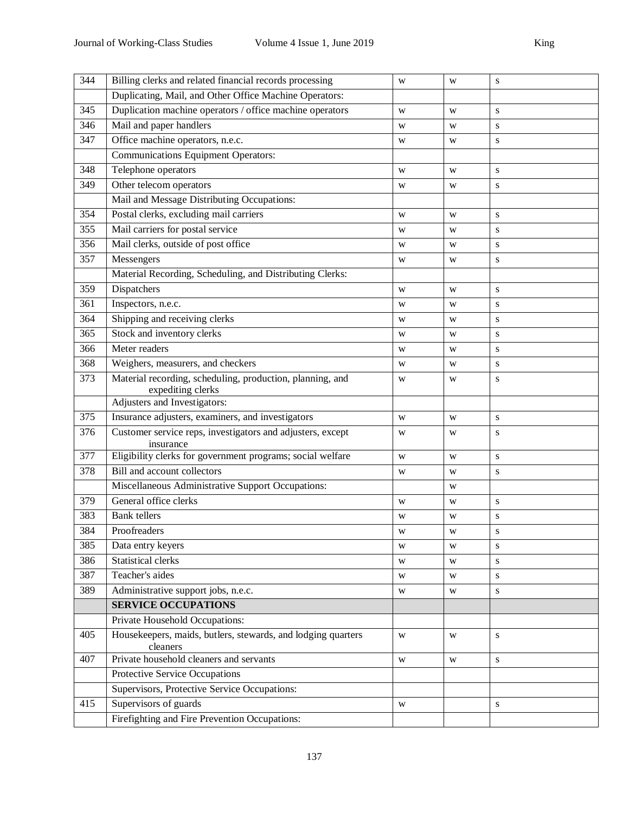| 344 | Billing clerks and related financial records processing                        | W           | W | S         |  |  |  |
|-----|--------------------------------------------------------------------------------|-------------|---|-----------|--|--|--|
|     | Duplicating, Mail, and Other Office Machine Operators:                         |             |   |           |  |  |  |
| 345 | Duplication machine operators / office machine operators                       | W           | W | S         |  |  |  |
| 346 | Mail and paper handlers                                                        | W           | W | S         |  |  |  |
| 347 | Office machine operators, n.e.c.<br>${\bf S}$<br>W<br>W                        |             |   |           |  |  |  |
|     | <b>Communications Equipment Operators:</b>                                     |             |   |           |  |  |  |
| 348 | Telephone operators                                                            | W           | W | ${\bf S}$ |  |  |  |
| 349 | Other telecom operators                                                        | W           | W | S         |  |  |  |
|     | Mail and Message Distributing Occupations:                                     |             |   |           |  |  |  |
| 354 | Postal clerks, excluding mail carriers                                         | W           | W | ${\bf S}$ |  |  |  |
| 355 | Mail carriers for postal service                                               | W           | W | S         |  |  |  |
| 356 | Mail clerks, outside of post office                                            | W           | W | ${\bf S}$ |  |  |  |
| 357 | Messengers                                                                     | W           | W | ${\bf S}$ |  |  |  |
|     | Material Recording, Scheduling, and Distributing Clerks:                       |             |   |           |  |  |  |
| 359 | Dispatchers                                                                    | W           | W | S         |  |  |  |
| 361 | Inspectors, n.e.c.                                                             | W           | W | S         |  |  |  |
| 364 | Shipping and receiving clerks                                                  | W           | W | S         |  |  |  |
| 365 | Stock and inventory clerks                                                     | S<br>W<br>W |   |           |  |  |  |
| 366 | Meter readers                                                                  | W           | W | ${\bf S}$ |  |  |  |
| 368 | Weighers, measurers, and checkers                                              | W           | W | S         |  |  |  |
| 373 | Material recording, scheduling, production, planning, and<br>expediting clerks | W           | W | ${\bf S}$ |  |  |  |
|     | Adjusters and Investigators:                                                   |             |   |           |  |  |  |
| 375 | Insurance adjusters, examiners, and investigators                              | W           | W | ${\bf S}$ |  |  |  |
| 376 | Customer service reps, investigators and adjusters, except<br>insurance        | W           | W | S         |  |  |  |
| 377 | Eligibility clerks for government programs; social welfare                     | W           | W | S         |  |  |  |
| 378 | Bill and account collectors                                                    | W           | W | ${\bf S}$ |  |  |  |
|     | Miscellaneous Administrative Support Occupations:                              |             | W |           |  |  |  |
| 379 | General office clerks                                                          | W           | W | S         |  |  |  |
| 383 | <b>Bank</b> tellers                                                            | W           | W | S         |  |  |  |
| 384 | Proofreaders                                                                   | W           | W | S         |  |  |  |
| 385 | Data entry keyers                                                              | W           | W | S         |  |  |  |
| 386 | <b>Statistical clerks</b>                                                      | W           | W | S         |  |  |  |
| 387 | Teacher's aides                                                                | W           | W | ${\bf S}$ |  |  |  |
| 389 | Administrative support jobs, n.e.c.                                            | W           | W | ${\bf S}$ |  |  |  |
|     | <b>SERVICE OCCUPATIONS</b>                                                     |             |   |           |  |  |  |
|     | Private Household Occupations:                                                 |             |   |           |  |  |  |
| 405 | Housekeepers, maids, butlers, stewards, and lodging quarters<br>cleaners       | W           | W | ${\bf S}$ |  |  |  |
| 407 | Private household cleaners and servants                                        | W           | W | S         |  |  |  |
|     | Protective Service Occupations                                                 |             |   |           |  |  |  |
|     | Supervisors, Protective Service Occupations:                                   |             |   |           |  |  |  |
| 415 | Supervisors of guards                                                          | W           |   | S         |  |  |  |
|     | Firefighting and Fire Prevention Occupations:                                  |             |   |           |  |  |  |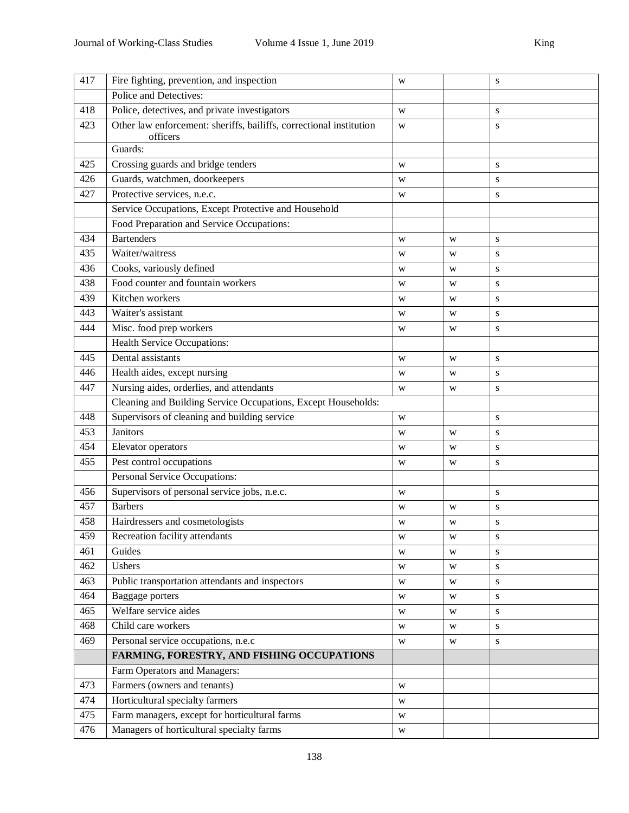| 417 | Fire fighting, prevention, and inspection                                       | W |   | ${\bf S}$ |
|-----|---------------------------------------------------------------------------------|---|---|-----------|
|     | Police and Detectives:                                                          |   |   |           |
| 418 | Police, detectives, and private investigators                                   | W |   | S         |
| 423 | Other law enforcement: sheriffs, bailiffs, correctional institution<br>officers | W |   | ${\bf S}$ |
|     | Guards:                                                                         |   |   |           |
| 425 | Crossing guards and bridge tenders                                              | W |   | ${\bf S}$ |
| 426 | Guards, watchmen, doorkeepers                                                   | W |   | ${\bf S}$ |
| 427 | Protective services, n.e.c.                                                     | W |   | ${\bf S}$ |
|     | Service Occupations, Except Protective and Household                            |   |   |           |
|     | Food Preparation and Service Occupations:                                       |   |   |           |
| 434 | <b>Bartenders</b>                                                               | W | W | S         |
| 435 | Waiter/waitress                                                                 | W | W | ${\bf S}$ |
| 436 | Cooks, variously defined                                                        | W | W | S         |
| 438 | Food counter and fountain workers                                               | W | W | S         |
| 439 | Kitchen workers                                                                 | W | W | S         |
| 443 | Waiter's assistant                                                              | W | W | S         |
| 444 | Misc. food prep workers                                                         | W | W | ${\bf S}$ |
|     | <b>Health Service Occupations:</b>                                              |   |   |           |
| 445 | Dental assistants                                                               | W | W | ${\bf S}$ |
| 446 | Health aides, except nursing                                                    | W | W | ${\bf S}$ |
| 447 | Nursing aides, orderlies, and attendants                                        | W | W | ${\bf S}$ |
|     | Cleaning and Building Service Occupations, Except Households:                   |   |   |           |
| 448 | Supervisors of cleaning and building service                                    | W |   | S         |
| 453 | Janitors                                                                        | W | W | ${\bf S}$ |
| 454 | Elevator operators                                                              | W | W | ${\bf S}$ |
| 455 | Pest control occupations                                                        | W | W | ${\bf S}$ |
|     | Personal Service Occupations:                                                   |   |   |           |
| 456 | Supervisors of personal service jobs, n.e.c.                                    | W |   | ${\bf S}$ |
| 457 | <b>Barbers</b>                                                                  | W | W | S         |
| 458 | Hairdressers and cosmetologists                                                 | W | W | S         |
| 459 | Recreation facility attendants                                                  | W | W | ${\bf S}$ |
| 461 | Guides                                                                          | W | W | S         |
| 462 | Ushers                                                                          | W | W | S         |
| 463 | Public transportation attendants and inspectors                                 | W | W | S         |
| 464 | Baggage porters                                                                 | W | W | S         |
| 465 | Welfare service aides                                                           | W | W | ${\bf S}$ |
| 468 | Child care workers                                                              | W | W | S         |
| 469 | Personal service occupations, n.e.c                                             | W | W | S         |
|     | FARMING, FORESTRY, AND FISHING OCCUPATIONS                                      |   |   |           |
|     | Farm Operators and Managers:                                                    |   |   |           |
| 473 | Farmers (owners and tenants)                                                    | W |   |           |
| 474 | Horticultural specialty farmers                                                 | W |   |           |
| 475 | Farm managers, except for horticultural farms                                   | W |   |           |
| 476 | Managers of horticultural specialty farms                                       | W |   |           |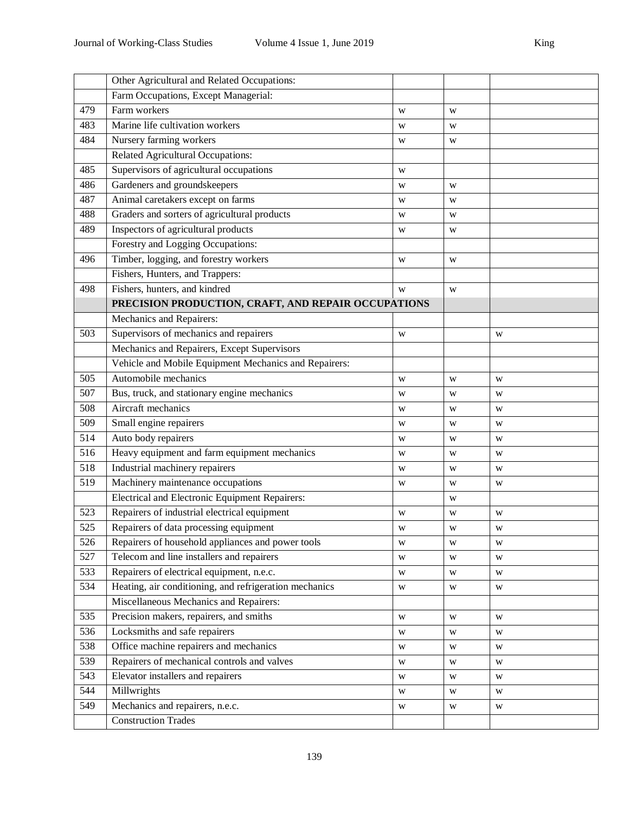|                  | Other Agricultural and Related Occupations:            |   |   |   |
|------------------|--------------------------------------------------------|---|---|---|
|                  | Farm Occupations, Except Managerial:                   |   |   |   |
| 479              | Farm workers                                           | W | W |   |
| 483              | Marine life cultivation workers                        | W | W |   |
| 484              | Nursery farming workers                                | W | W |   |
|                  | Related Agricultural Occupations:                      |   |   |   |
| 485              | Supervisors of agricultural occupations                | W |   |   |
| 486              | Gardeners and groundskeepers                           | W | W |   |
| 487              | Animal caretakers except on farms                      | W | W |   |
| 488              | Graders and sorters of agricultural products           | W | W |   |
| 489              | Inspectors of agricultural products                    | W | W |   |
|                  | Forestry and Logging Occupations:                      |   |   |   |
| 496              | Timber, logging, and forestry workers                  | W | W |   |
|                  | Fishers, Hunters, and Trappers:                        |   |   |   |
| 498              | Fishers, hunters, and kindred                          | W | W |   |
|                  | PRECISION PRODUCTION, CRAFT, AND REPAIR OCCUPATIONS    |   |   |   |
|                  | Mechanics and Repairers:                               |   |   |   |
| 503              | Supervisors of mechanics and repairers                 | W |   | W |
|                  | Mechanics and Repairers, Except Supervisors            |   |   |   |
|                  | Vehicle and Mobile Equipment Mechanics and Repairers:  |   |   |   |
| 505              | Automobile mechanics                                   | W | W | W |
| 507              | Bus, truck, and stationary engine mechanics            | W | W | W |
| 508              | Aircraft mechanics                                     | W | W | W |
| 509              | Small engine repairers                                 | W | W | W |
| $\overline{514}$ | Auto body repairers                                    | W | W | W |
| 516              | Heavy equipment and farm equipment mechanics           | W | W | W |
| 518              | Industrial machinery repairers                         | W | W | W |
| 519              | Machinery maintenance occupations                      | W | W | W |
|                  | Electrical and Electronic Equipment Repairers:         |   | W |   |
| 523              | Repairers of industrial electrical equipment           | W | W | W |
| 525              | Repairers of data processing equipment                 | W | W | W |
| 526              | Repairers of household appliances and power tools      | W | W | W |
| 527              | Telecom and line installers and repairers              | W | W | W |
| 533              | Repairers of electrical equipment, n.e.c.              | W | W | W |
| 534              | Heating, air conditioning, and refrigeration mechanics | W | W | W |
|                  | Miscellaneous Mechanics and Repairers:                 |   |   |   |
| 535              | Precision makers, repairers, and smiths                | W | W | W |
| 536              | Locksmiths and safe repairers                          | W | W | W |
| 538              | Office machine repairers and mechanics                 | W | W | W |
| 539              | Repairers of mechanical controls and valves            | W | W | W |
| 543              | Elevator installers and repairers                      | W | W | W |
| 544              | Millwrights                                            | W | W | W |
| 549              | Mechanics and repairers, n.e.c.                        | W | W | W |
|                  | <b>Construction Trades</b>                             |   |   |   |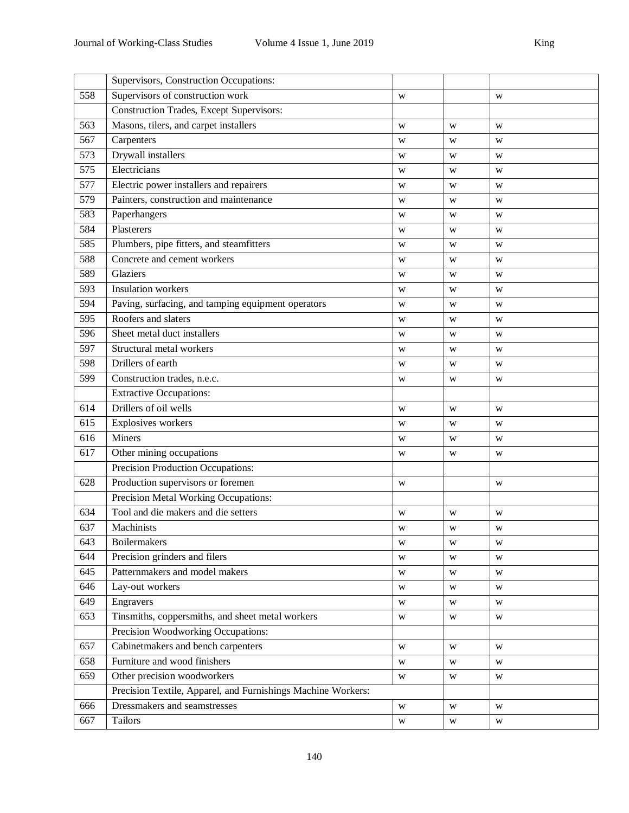|     | Supervisors, Construction Occupations:                       |             |   |                         |
|-----|--------------------------------------------------------------|-------------|---|-------------------------|
| 558 | Supervisors of construction work                             | W           |   | W                       |
|     | <b>Construction Trades, Except Supervisors:</b>              |             |   |                         |
| 563 | Masons, tilers, and carpet installers                        | W           | W | W                       |
| 567 | Carpenters                                                   | W           | W | W                       |
| 573 | Drywall installers                                           | W           | W | W                       |
| 575 | Electricians                                                 | W           | W | W                       |
| 577 | Electric power installers and repairers                      | W           | W | W                       |
| 579 | Painters, construction and maintenance                       | W           | W | W                       |
| 583 | Paperhangers                                                 | W           | W | W                       |
| 584 | Plasterers                                                   | W           | W | W                       |
| 585 | Plumbers, pipe fitters, and steamfitters                     | W           | W | W                       |
| 588 | Concrete and cement workers                                  | W           | W | W                       |
| 589 | Glaziers                                                     | W           | W | W                       |
| 593 | <b>Insulation</b> workers                                    | W           | W | W                       |
| 594 | Paving, surfacing, and tamping equipment operators           | W           | W | W                       |
| 595 | Roofers and slaters                                          | W           | W | W                       |
| 596 | Sheet metal duct installers                                  | W           | W | W                       |
| 597 | Structural metal workers                                     | W           | W | W                       |
| 598 | Drillers of earth                                            | W           | W | W                       |
| 599 | Construction trades, n.e.c.                                  | W           | W | W                       |
|     | <b>Extractive Occupations:</b>                               |             |   |                         |
| 614 | Drillers of oil wells                                        | W           | W | W                       |
| 615 | Explosives workers                                           | W           | W | W                       |
| 616 | Miners                                                       | W           | W | W                       |
| 617 | Other mining occupations                                     | W<br>W      |   | W                       |
|     | Precision Production Occupations:                            |             |   |                         |
| 628 | Production supervisors or foremen                            | W           |   | W                       |
|     | Precision Metal Working Occupations:                         |             |   |                         |
| 634 | Tool and die makers and die setters                          | W           | W | W                       |
| 637 | Machinists                                                   | W           | W | W                       |
| 643 | <b>Boilermakers</b>                                          | W           | W | W                       |
| 644 | Precision grinders and filers                                | W           | W | W                       |
| 645 | Patternmakers and model makers                               | W           | W | W                       |
| 646 | Lay-out workers                                              | W           | W | W                       |
| 649 | Engravers                                                    | W           | W | W                       |
| 653 | Tinsmiths, coppersmiths, and sheet metal workers             | W           | W | W                       |
|     | Precision Woodworking Occupations:                           |             |   |                         |
| 657 | Cabinetmakers and bench carpenters                           | W           | W | W                       |
| 658 | Furniture and wood finishers                                 | W           | W | W                       |
| 659 | Other precision woodworkers                                  | W           | W | W                       |
|     | Precision Textile, Apparel, and Furnishings Machine Workers: |             |   |                         |
| 666 | Dressmakers and seamstresses                                 | W           | W | W                       |
| 667 | Tailors                                                      | $\mathbf W$ | W | $\ensuremath{\text{W}}$ |
|     |                                                              |             |   |                         |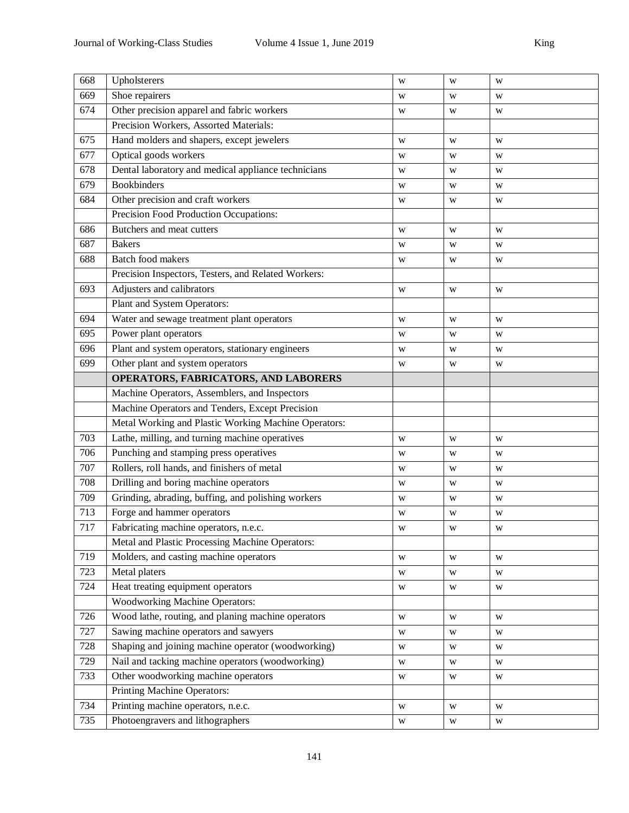| 668 | Upholsterers                                         | W           | W | W |  |  |
|-----|------------------------------------------------------|-------------|---|---|--|--|
| 669 | Shoe repairers                                       | W           | W | W |  |  |
| 674 | Other precision apparel and fabric workers           | W           | W | W |  |  |
|     | Precision Workers, Assorted Materials:               |             |   |   |  |  |
| 675 | Hand molders and shapers, except jewelers            | W           | W | W |  |  |
| 677 | Optical goods workers                                | W           | W | W |  |  |
| 678 | Dental laboratory and medical appliance technicians  | W           | W | W |  |  |
| 679 | <b>Bookbinders</b>                                   | W           | W | W |  |  |
| 684 | Other precision and craft workers                    | W           | W | W |  |  |
|     | Precision Food Production Occupations:               |             |   |   |  |  |
| 686 | Butchers and meat cutters                            | W           | W | W |  |  |
| 687 | <b>Bakers</b>                                        | W           | W | W |  |  |
| 688 | Batch food makers                                    | W           | W | W |  |  |
|     | Precision Inspectors, Testers, and Related Workers:  |             |   |   |  |  |
| 693 | Adjusters and calibrators                            | W           | W | W |  |  |
|     | Plant and System Operators:                          |             |   |   |  |  |
| 694 | Water and sewage treatment plant operators           | W           | W | W |  |  |
| 695 | Power plant operators                                | W           | W | W |  |  |
| 696 | Plant and system operators, stationary engineers     | W           |   |   |  |  |
| 699 | Other plant and system operators                     | W           | W |   |  |  |
|     | OPERATORS, FABRICATORS, AND LABORERS                 |             |   |   |  |  |
|     | Machine Operators, Assemblers, and Inspectors        |             |   |   |  |  |
|     | Machine Operators and Tenders, Except Precision      |             |   |   |  |  |
|     | Metal Working and Plastic Working Machine Operators: |             |   |   |  |  |
| 703 | Lathe, milling, and turning machine operatives       | W           | W | W |  |  |
| 706 | Punching and stamping press operatives               | W           | W | W |  |  |
| 707 | Rollers, roll hands, and finishers of metal          | W           | W | W |  |  |
| 708 | Drilling and boring machine operators                | W           | W | W |  |  |
| 709 | Grinding, abrading, buffing, and polishing workers   | W<br>W<br>W |   |   |  |  |
| 713 | Forge and hammer operators                           | W           | W | W |  |  |
| 717 | Fabricating machine operators, n.e.c.                | W           | W | W |  |  |
|     | Metal and Plastic Processing Machine Operators:      |             |   |   |  |  |
| 719 | Molders, and casting machine operators               | W           | W | W |  |  |
| 723 | Metal platers                                        | W           | W | W |  |  |
| 724 | Heat treating equipment operators                    | W           | W | W |  |  |
|     | <b>Woodworking Machine Operators:</b>                |             |   |   |  |  |
| 726 | Wood lathe, routing, and planing machine operators   | W           | W | W |  |  |
| 727 | Sawing machine operators and sawyers                 | W           | W | W |  |  |
| 728 | Shaping and joining machine operator (woodworking)   | W           | W | W |  |  |
| 729 | Nail and tacking machine operators (woodworking)     | W           | W | W |  |  |
| 733 | Other woodworking machine operators                  | W           | W | W |  |  |
|     | Printing Machine Operators:                          |             |   |   |  |  |
| 734 | Printing machine operators, n.e.c.                   | W           | W | W |  |  |
| 735 | Photoengravers and lithographers                     | W           | W | W |  |  |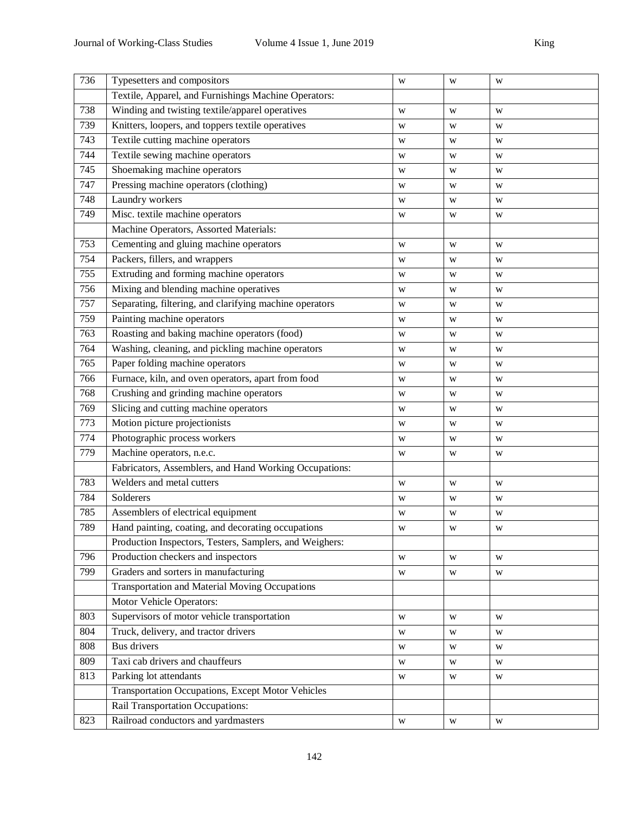| 736 | Typesetters and compositors                             | W           | W | W |
|-----|---------------------------------------------------------|-------------|---|---|
|     | Textile, Apparel, and Furnishings Machine Operators:    |             |   |   |
| 738 | Winding and twisting textile/apparel operatives         | W           | W | W |
| 739 | Knitters, loopers, and toppers textile operatives       | W           | W | W |
| 743 | Textile cutting machine operators                       | W           | W | W |
| 744 | Textile sewing machine operators                        | W           | W | W |
| 745 | Shoemaking machine operators                            | W           | W | W |
| 747 | Pressing machine operators (clothing)                   | W           | W | W |
| 748 | Laundry workers                                         | W           | W | W |
| 749 | Misc. textile machine operators                         | W           | W | W |
|     | Machine Operators, Assorted Materials:                  |             |   |   |
| 753 | Cementing and gluing machine operators                  | W           | W | W |
| 754 | Packers, fillers, and wrappers                          | W           | W | W |
| 755 | Extruding and forming machine operators                 | W           | W | W |
| 756 | Mixing and blending machine operatives                  | W           | W | W |
| 757 | Separating, filtering, and clarifying machine operators | W           | W | W |
| 759 | Painting machine operators                              | W           | W | W |
| 763 | Roasting and baking machine operators (food)            | W           | W | W |
| 764 | Washing, cleaning, and pickling machine operators       | W           | W | W |
| 765 | Paper folding machine operators                         | W           | W | W |
| 766 | Furnace, kiln, and oven operators, apart from food      | W           | W | W |
| 768 | Crushing and grinding machine operators                 | W           | W | W |
| 769 | Slicing and cutting machine operators                   | W           | W | W |
| 773 | Motion picture projectionists                           | W           | W | W |
| 774 | Photographic process workers                            | W           | W | W |
| 779 | Machine operators, n.e.c.                               | W           | W | W |
|     | Fabricators, Assemblers, and Hand Working Occupations:  |             |   |   |
| 783 | Welders and metal cutters                               | W           | W | W |
| 784 | Solderers                                               | W           | W | W |
| 785 | Assemblers of electrical equipment                      | W           | W | W |
| 789 | Hand painting, coating, and decorating occupations      | W           | W | W |
|     | Production Inspectors, Testers, Samplers, and Weighers: |             |   |   |
| 796 | Production checkers and inspectors                      | W           | W | W |
| 799 | Graders and sorters in manufacturing                    | W           | W | W |
|     | <b>Transportation and Material Moving Occupations</b>   |             |   |   |
|     | Motor Vehicle Operators:                                |             |   |   |
| 803 | Supervisors of motor vehicle transportation             | W           | W | W |
| 804 | Truck, delivery, and tractor drivers                    | W           | W | W |
| 808 | <b>Bus</b> drivers                                      | W           | W | W |
| 809 | Taxi cab drivers and chauffeurs                         | W           | W | W |
| 813 | Parking lot attendants                                  | W           | W | W |
|     | Transportation Occupations, Except Motor Vehicles       |             |   |   |
|     | Rail Transportation Occupations:                        |             |   |   |
| 823 | Railroad conductors and yardmasters                     | $\mathbf W$ | W | W |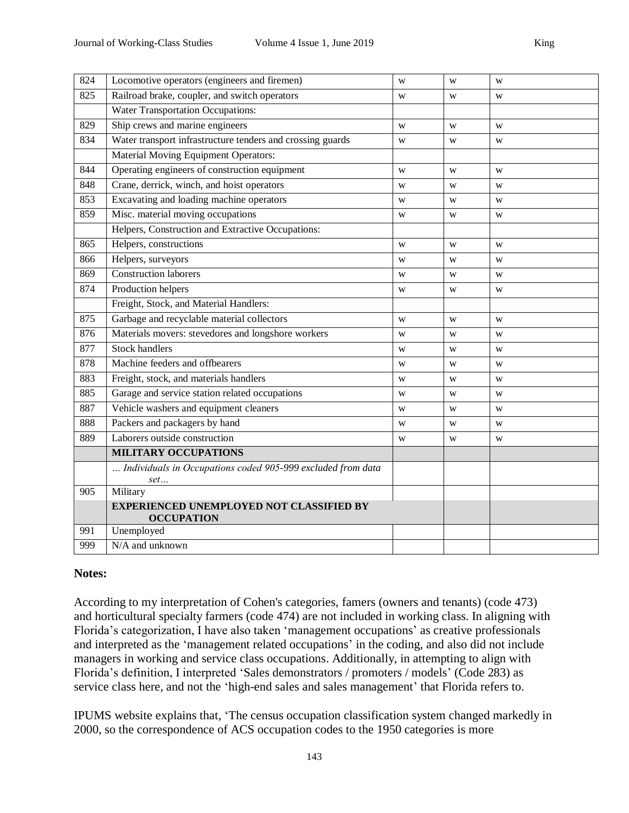| 824 | Locomotive operators (engineers and firemen)                         | W | W | W |
|-----|----------------------------------------------------------------------|---|---|---|
| 825 | Railroad brake, coupler, and switch operators                        | W | W | W |
|     | <b>Water Transportation Occupations:</b>                             |   |   |   |
| 829 | Ship crews and marine engineers                                      | W | W | W |
| 834 | Water transport infrastructure tenders and crossing guards           | W | W | W |
|     | Material Moving Equipment Operators:                                 |   |   |   |
| 844 | Operating engineers of construction equipment                        | W | W | W |
| 848 | Crane, derrick, winch, and hoist operators                           | W | W | W |
| 853 | Excavating and loading machine operators                             | W | W | W |
| 859 | Misc. material moving occupations                                    | W | W | W |
|     | Helpers, Construction and Extractive Occupations:                    |   |   |   |
| 865 | Helpers, constructions                                               | W | W | W |
| 866 | Helpers, surveyors                                                   | W | W | W |
| 869 | <b>Construction laborers</b>                                         | W | W | W |
| 874 | Production helpers                                                   | W | W | W |
|     | Freight, Stock, and Material Handlers:                               |   |   |   |
| 875 | Garbage and recyclable material collectors                           | W | W | W |
| 876 | Materials movers: stevedores and longshore workers                   | W | W | W |
| 877 | <b>Stock handlers</b>                                                | W | W | W |
| 878 | Machine feeders and offbearers                                       | W | W | W |
| 883 | Freight, stock, and materials handlers                               | W | W | W |
| 885 | Garage and service station related occupations                       | W | W | W |
| 887 | Vehicle washers and equipment cleaners                               | W | W | W |
| 888 | Packers and packagers by hand                                        | W | W | W |
| 889 | Laborers outside construction                                        | W | W | W |
|     | <b>MILITARY OCCUPATIONS</b>                                          |   |   |   |
|     | Individuals in Occupations coded 905-999 excluded from data          |   |   |   |
| 905 | set                                                                  |   |   |   |
|     | Military                                                             |   |   |   |
|     | <b>EXPERIENCED UNEMPLOYED NOT CLASSIFIED BY</b><br><b>OCCUPATION</b> |   |   |   |
| 991 | Unemployed                                                           |   |   |   |
| 999 | N/A and unknown                                                      |   |   |   |

#### **Notes:**

According to my interpretation of Cohen's categories, famers (owners and tenants) (code 473) and horticultural specialty farmers (code 474) are not included in working class. In aligning with Florida's categorization, I have also taken 'management occupations' as creative professionals and interpreted as the 'management related occupations' in the coding, and also did not include managers in working and service class occupations. Additionally, in attempting to align with Florida's definition, I interpreted 'Sales demonstrators / promoters / models' (Code 283) as service class here, and not the 'high-end sales and sales management' that Florida refers to.

IPUMS website explains that, 'The census occupation classification system changed markedly in 2000, so the correspondence of ACS occupation codes to the 1950 categories is more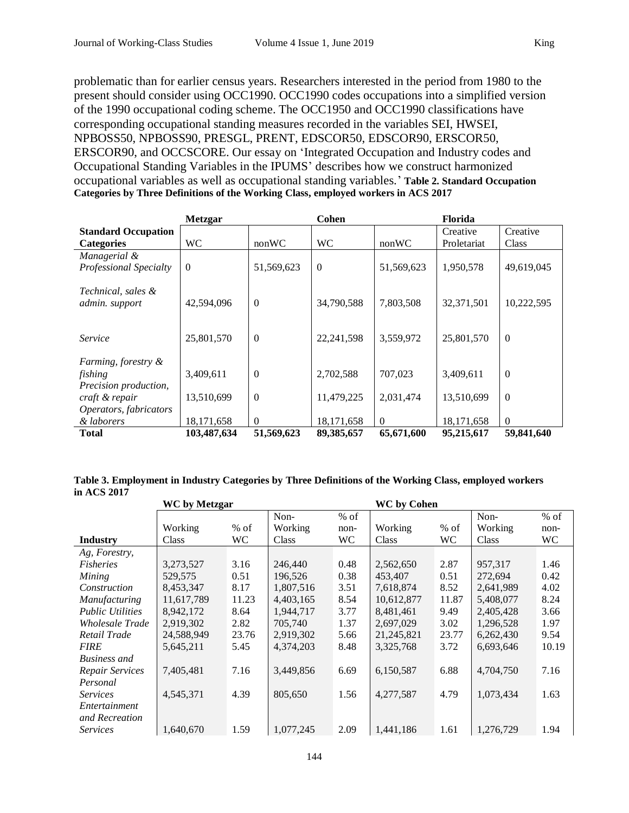problematic than for earlier census years. Researchers interested in the period from 1980 to the present should consider using OCC1990. OCC1990 codes occupations into a simplified version of the 1990 occupational coding scheme. The OCC1950 and OCC1990 classifications have corresponding occupational standing measures recorded in the variables SEI, HWSEI, NPBOSS50, NPBOSS90, PRESGL, PRENT, EDSCOR50, EDSCOR90, ERSCOR50, ERSCOR90, and OCCSCORE. Our essay on 'Integrated Occupation and Industry codes and Occupational Standing Variables in the IPUMS' describes how we construct harmonized occupational variables as well as occupational standing variables.' **Table 2. Standard Occupation Categories by Three Definitions of the Working Class, employed workers in ACS 2017** 

|                            | <b>Metzgar</b> |              | Cohen          |            | <b>Florida</b> |                  |
|----------------------------|----------------|--------------|----------------|------------|----------------|------------------|
| <b>Standard Occupation</b> |                |              |                |            | Creative       | Creative         |
| <b>Categories</b>          | <b>WC</b>      | nonWC        | <b>WC</b>      | nonWC      | Proletariat    | <b>Class</b>     |
| Managerial &               |                |              |                |            |                |                  |
| Professional Specialty     | $\theta$       | 51,569,623   | $\overline{0}$ | 51,569,623 | 1,950,578      | 49,619,045       |
|                            |                |              |                |            |                |                  |
| Technical, sales &         |                |              |                |            |                |                  |
| admin. support             | 42,594,096     | $\Omega$     | 34,790,588     | 7,803,508  | 32,371,501     | 10,222,595       |
|                            |                |              |                |            |                |                  |
|                            |                |              |                |            |                |                  |
| Service                    | 25,801,570     | $\theta$     | 22, 241, 598   | 3,559,972  | 25,801,570     | $\boldsymbol{0}$ |
|                            |                |              |                |            |                |                  |
| Farming, forestry &        |                |              |                |            |                |                  |
| fishing                    | 3,409,611      | $\theta$     | 2,702,588      | 707,023    | 3,409,611      | $\boldsymbol{0}$ |
| Precision production,      |                |              |                |            |                |                  |
| craft & repair             | 13,510,699     | $\mathbf{0}$ | 11,479,225     | 2,031,474  | 13,510,699     | $\mathbf{0}$     |
| Operators, fabricators     |                |              |                |            |                |                  |
| & laborers                 | 18,171,658     | $\Omega$     | 18,171,658     | $\Omega$   | 18,171,658     | $\theta$         |
| <b>Total</b>               | 103,487,634    | 51,569,623   | 89,385,657     | 65,671,600 | 95,215,617     | 59,841,640       |

**Table 3. Employment in Industry Categories by Three Definitions of the Working Class, employed workers in ACS 2017** 

|                         | <b>WC</b> by Metzgar<br><b>WC</b> by Cohen |        |           |      |            |        |           |        |
|-------------------------|--------------------------------------------|--------|-----------|------|------------|--------|-----------|--------|
|                         |                                            |        | Non-      | % of |            |        | Non-      | $%$ of |
|                         | Working                                    | $%$ of | Working   | non- | Working    | $%$ of | Working   | non-   |
| <b>Industry</b>         | Class                                      | WC     | Class     | WC.  | Class      | WC.    | Class     | WC     |
| Ag, Forestry,           |                                            |        |           |      |            |        |           |        |
| <b>Fisheries</b>        | 3,273,527                                  | 3.16   | 246,440   | 0.48 | 2,562,650  | 2.87   | 957.317   | 1.46   |
| Mining                  | 529,575                                    | 0.51   | 196.526   | 0.38 | 453,407    | 0.51   | 272,694   | 0.42   |
| Construction            | 8,453,347                                  | 8.17   | 1,807,516 | 3.51 | 7,618,874  | 8.52   | 2,641,989 | 4.02   |
| <i>Manufacturing</i>    | 11,617,789                                 | 11.23  | 4,403,165 | 8.54 | 10,612,877 | 11.87  | 5,408,077 | 8.24   |
| <b>Public Utilities</b> | 8,942,172                                  | 8.64   | 1,944,717 | 3.77 | 8,481,461  | 9.49   | 2,405,428 | 3.66   |
| Wholesale Trade         | 2,919,302                                  | 2.82   | 705.740   | 1.37 | 2,697,029  | 3.02   | 1,296,528 | 1.97   |
| Retail Trade            | 24,588,949                                 | 23.76  | 2,919,302 | 5.66 | 21,245,821 | 23.77  | 6,262,430 | 9.54   |
| <i>FIRE</i>             | 5,645,211                                  | 5.45   | 4,374,203 | 8.48 | 3,325,768  | 3.72   | 6,693,646 | 10.19  |
| <b>Business</b> and     |                                            |        |           |      |            |        |           |        |
| Repair Services         | 7,405,481                                  | 7.16   | 3,449,856 | 6.69 | 6,150,587  | 6.88   | 4,704,750 | 7.16   |
| Personal                |                                            |        |           |      |            |        |           |        |
| <i>Services</i>         | 4,545,371                                  | 4.39   | 805,650   | 1.56 | 4,277,587  | 4.79   | 1,073,434 | 1.63   |
| Entertainment           |                                            |        |           |      |            |        |           |        |
| and Recreation          |                                            |        |           |      |            |        |           |        |
| <i>Services</i>         | 1,640,670                                  | 1.59   | 1,077,245 | 2.09 | 1,441,186  | 1.61   | 1,276,729 | 1.94   |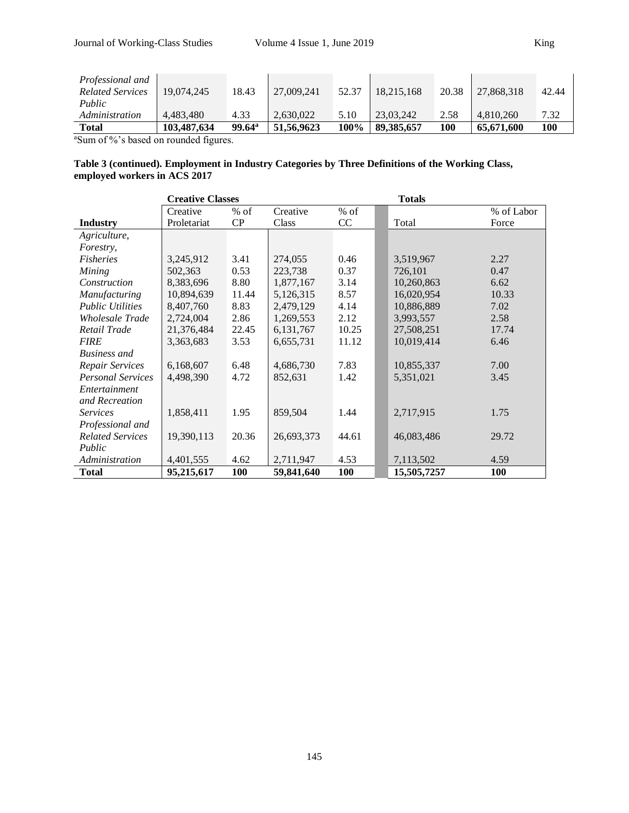| Professional and<br><b>Related Services</b> | 19.074.245  | 18.43                | 27,009,241 | 52.37 | 18,215,168   | 20.38 | 27,868,318 | 42.44 |
|---------------------------------------------|-------------|----------------------|------------|-------|--------------|-------|------------|-------|
| Public<br>Administration                    | 4.483.480   | 4.33                 | 2.630.022  | 5.10  | 23.03.242    | 2.58  | 4.810.260  | 7.32  |
| Total                                       | 103,487,634 | $99.64^{\mathrm{a}}$ | 51,56,9623 | 100%  | 89, 385, 657 | 100   | 65,671,600 | 100   |

<sup>a</sup>Sum of %'s based on rounded figures.

#### **Table 3 (continued). Employment in Industry Categories by Three Definitions of the Working Class, employed workers in ACS 2017**

|                          | <b>Creative Classes</b> |       |            |        | <b>Totals</b> |            |
|--------------------------|-------------------------|-------|------------|--------|---------------|------------|
|                          | Creative                | % of  | Creative   | $%$ of |               | % of Labor |
| <b>Industry</b>          | Proletariat             | CP    | Class      | CC     | Total         | Force      |
| Agriculture,             |                         |       |            |        |               |            |
| Forestry,                |                         |       |            |        |               |            |
| <b>Fisheries</b>         | 3,245,912               | 3.41  | 274,055    | 0.46   | 3,519,967     | 2.27       |
| Mining                   | 502,363                 | 0.53  | 223,738    | 0.37   | 726,101       | 0.47       |
| Construction             | 8,383,696               | 8.80  | 1,877,167  | 3.14   | 10,260,863    | 6.62       |
| Manufacturing            | 10,894,639              | 11.44 | 5,126,315  | 8.57   | 16,020,954    | 10.33      |
| <b>Public Utilities</b>  | 8,407,760               | 8.83  | 2,479,129  | 4.14   | 10,886,889    | 7.02       |
| Wholesale Trade          | 2,724,004               | 2.86  | 1,269,553  | 2.12   | 3,993,557     | 2.58       |
| Retail Trade             | 21,376,484              | 22.45 | 6,131,767  | 10.25  | 27,508,251    | 17.74      |
| <b>FIRE</b>              | 3,363,683               | 3.53  | 6,655,731  | 11.12  | 10,019,414    | 6.46       |
| <b>Business</b> and      |                         |       |            |        |               |            |
| Repair Services          | 6,168,607               | 6.48  | 4,686,730  | 7.83   | 10,855,337    | 7.00       |
| <b>Personal Services</b> | 4,498,390               | 4.72  | 852,631    | 1.42   | 5,351,021     | 3.45       |
| Entertainment            |                         |       |            |        |               |            |
| and Recreation           |                         |       |            |        |               |            |
| <b>Services</b>          | 1,858,411               | 1.95  | 859,504    | 1.44   | 2,717,915     | 1.75       |
| Professional and         |                         |       |            |        |               |            |
| <b>Related Services</b>  | 19,390,113              | 20.36 | 26,693,373 | 44.61  | 46,083,486    | 29.72      |
| Public                   |                         |       |            |        |               |            |
| Administration           | 4,401,555               | 4.62  | 2,711,947  | 4.53   | 7,113,502     | 4.59       |
| <b>Total</b>             | 95,215,617              | 100   | 59,841,640 | 100    | 15,505,7257   | <b>100</b> |